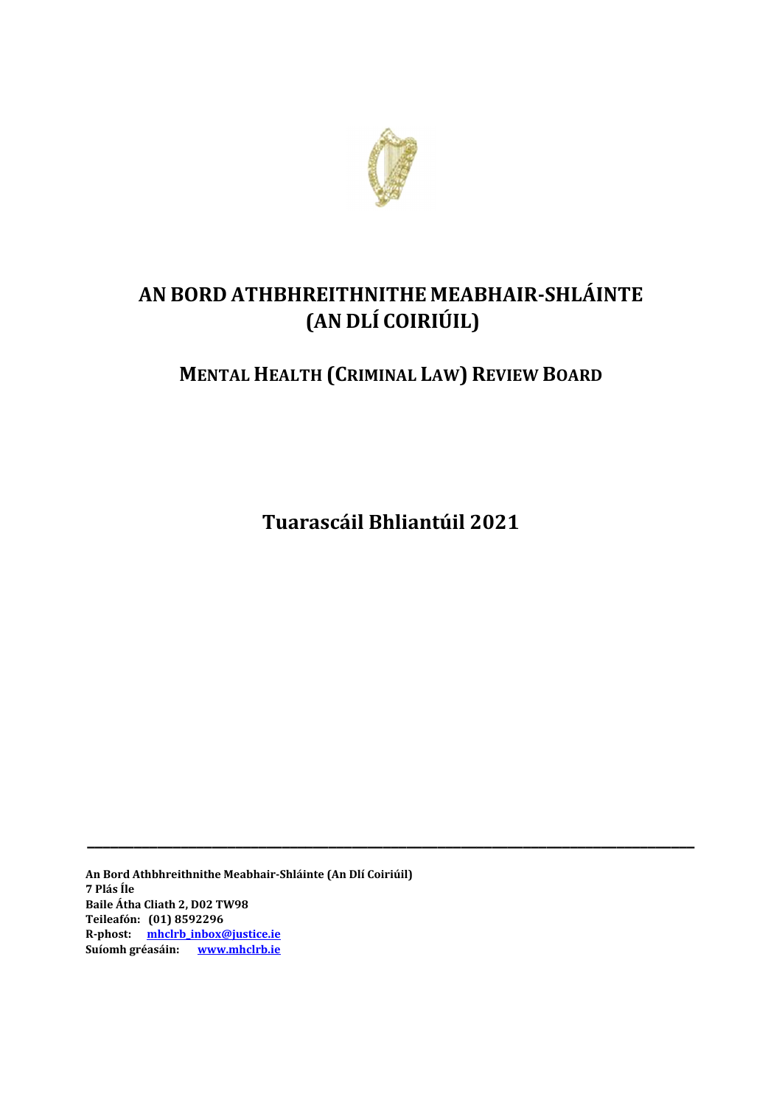

# **AN BORD ATHBHREITHNITHE MEABHAIR‐SHLÁINTE (AN DLÍ COIRIÚIL)**

# **MENTAL HEALTH (CRIMINAL LAW) REVIEW BOARD**

**Tuarascáil Bhliantúil 2021**

**\_\_\_\_\_\_\_\_\_\_\_\_\_\_\_\_\_\_\_\_\_\_\_\_\_\_\_\_\_\_\_\_\_\_\_\_\_\_\_\_\_\_\_\_\_\_\_\_\_\_\_\_\_\_\_\_\_\_\_\_\_\_\_\_\_\_\_\_\_\_\_\_\_\_\_\_\_\_**

**An Bord Athbhreithnithe Meabhair‐Shláinte (An Dlí Coiriúil) 7 Plás Íle Baile Átha Cliath 2, D02 TW98 Teileafón: (01) 8592296 R‐phost: mhclrb\_inbox@justice.ie** Suíomh gréasáin: **www.mhclrb.ie**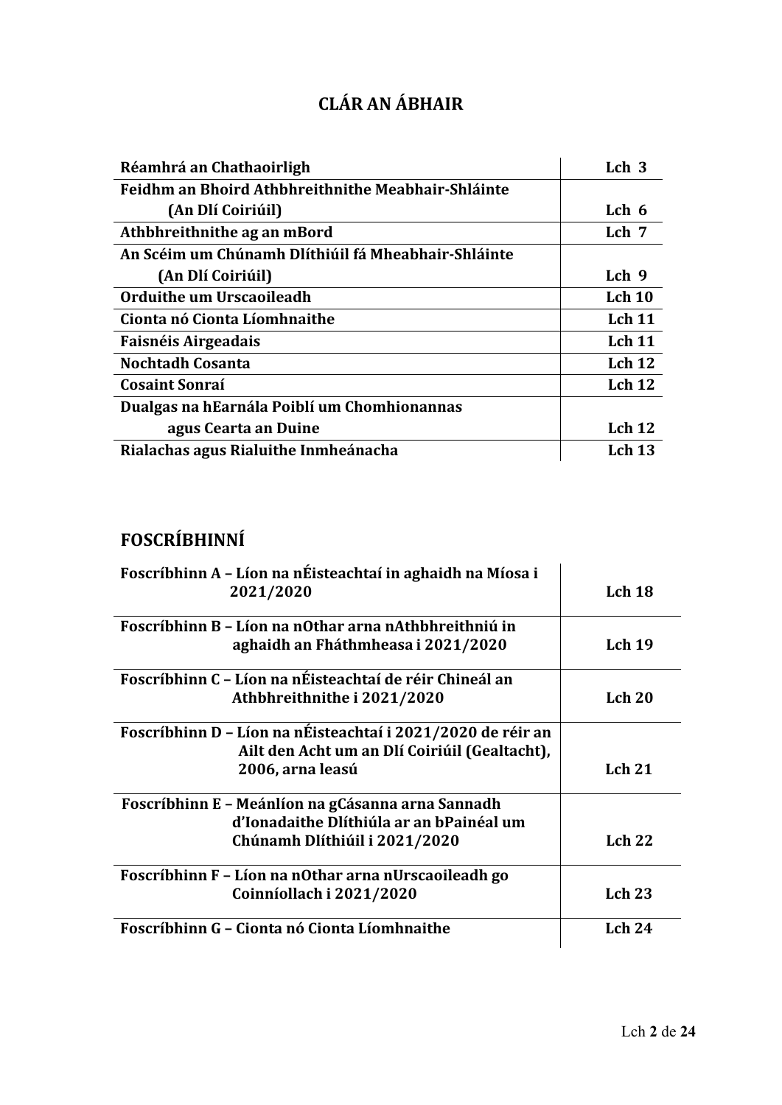| <b>CLÁR AN ÁBHAIR</b> |  |  |
|-----------------------|--|--|
|                       |  |  |

| Réamhrá an Chathaoirligh                            | Lch <sub>3</sub>  |
|-----------------------------------------------------|-------------------|
| Feidhm an Bhoird Athbhreithnithe Meabhair-Shláinte  |                   |
| (An Dlí Coiriúil)                                   | Lch 6             |
| Athbhreithnithe ag an mBord                         | Lch <sub>7</sub>  |
| An Scéim um Chúnamh Dlíthiúil fá Mheabhair-Shláinte |                   |
| (An Dlí Coiriúil)                                   | Lch 9             |
| Orduithe um Urscaoileadh                            | Lch 10            |
| Cionta nó Cionta Líomhnaithe                        | Lch <sub>11</sub> |
| Faisnéis Airgeadais                                 | Lch <sub>11</sub> |
| <b>Nochtadh Cosanta</b>                             | Lch <sub>12</sub> |
| <b>Cosaint Sonraí</b>                               | Lch <sub>12</sub> |
| Dualgas na hEarnála Poiblí um Chomhionannas         |                   |
| agus Cearta an Duine                                | Lch <sub>12</sub> |
| Rialachas agus Rialuithe Inmheánacha                | <b>Lch 13</b>     |

# **FOSCRÍBHINNÍ**

| Foscríbhinn A - Líon na nÉisteachtaí in aghaidh na Míosa i<br>2021/2020 | Lch 18        |
|-------------------------------------------------------------------------|---------------|
| Foscríbhinn B - Líon na nOthar arna nAthbhreithniú in                   |               |
| aghaidh an Fháthmheasa i 2021/2020                                      | Lch $19$      |
| Foscríbhinn C - Líon na nÉisteachtaí de réir Chineál an                 |               |
| Athbhreithnithe i 2021/2020                                             | Lch 20        |
| Foscríbhinn D - Líon na nÉisteachtaí i 2021/2020 de réir an             |               |
| Ailt den Acht um an Dlí Coiriúil (Gealtacht),                           |               |
| 2006, arna leasú                                                        | Lch 21        |
| Foscríbhinn E - Meánlíon na gCásanna arna Sannadh                       |               |
| d'Ionadaithe Dlíthiúla ar an bPainéal um                                |               |
| Chúnamh Dlíthiúil i 2021/2020                                           | Lch $22$      |
| Foscríbhinn F - Líon na nOthar arna nUrscaoileadh go                    |               |
| Coinníollach i 2021/2020                                                | <b>Lch 23</b> |
| Foscríbhinn G - Cionta nó Cionta Líomhnaithe                            | Lch $24$      |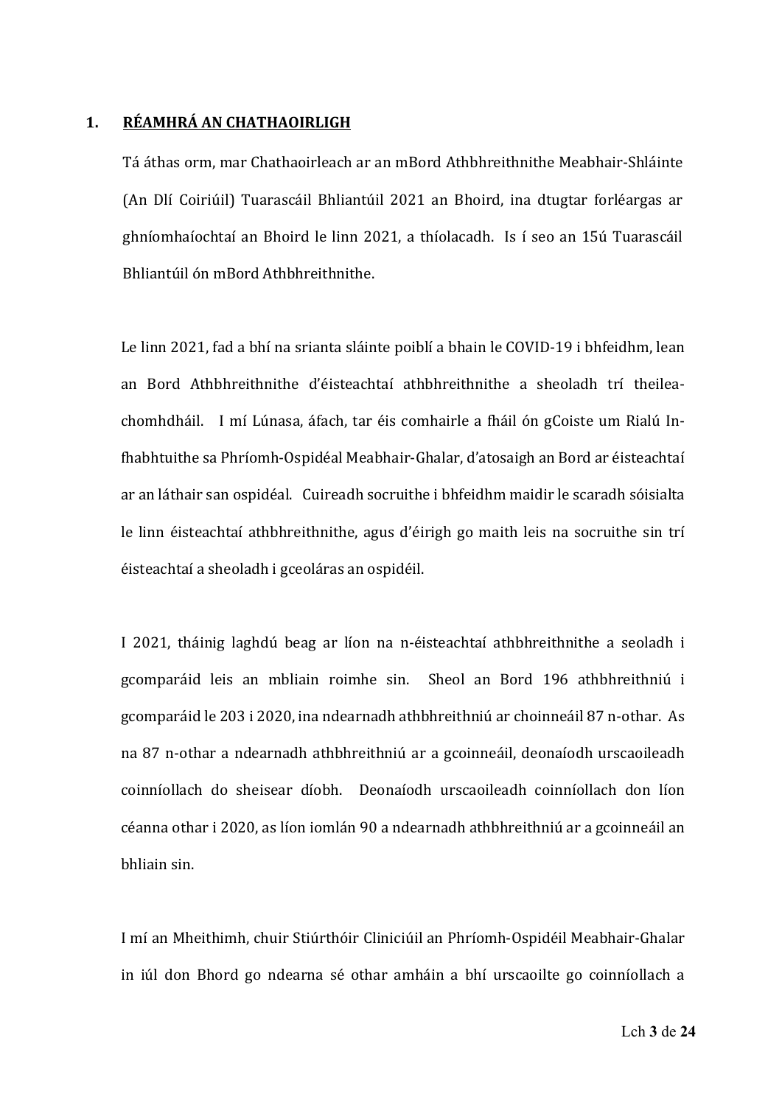#### **1. RÉAMHRÁ AN CHATHAOIRLIGH**

Tá áthas orm, mar Chathaoirleach ar an mBord Athbhreithnithe Meabhair‐Shláinte (An Dlí Coiriúil) Tuarascáil Bhliantúil 2021 an Bhoird, ina dtugtar forléargas ar ghníomhaíochtaí an Bhoird le linn 2021, a thíolacadh. Is í seo an 15ú Tuarascáil Bhliantúil ón mBord Athbhreithnithe. 

 Le linn 2021, fad a bhí na srianta sláinte poiblí a bhain le COVID‐19 i bhfeidhm, lean an Bord Athbhreithnithe d'éisteachtaí athbhreithnithe a sheoladh trí theilea‐ chomhdháil. I mí Lúnasa, áfach, tar éis comhairle a fháil ón gCoiste um Rialú Infhabhtuithe sa Phríomh‐Ospidéal Meabhair‐Ghalar, d'atosaigh an Bord ar éisteachtaí ar an láthair san ospidéal. Cuireadh socruithe i bhfeidhm maidir le scaradh sóisialta le linn éisteachtaí athbhreithnithe, agus d'éirigh go maith leis na socruithe sin trí éisteachtaí a sheoladh i gceoláras an ospidéil. 

I 2021, tháinig laghdú beag ar líon na n‐éisteachtaí athbhreithnithe a seoladh i gcomparáid leis an mbliain roimhe sin. Sheol an Bord 196 athbhreithniú i gcomparáid le 203 i 2020, ina ndearnadh athbhreithniú ar choinneáil 87 n‐othar. As na 87 n‐othar a ndearnadh athbhreithniú ar a gcoinneáil, deonaíodh urscaoileadh coinníollach do sheisear díobh. Deonaíodh urscaoileadh coinníollach don líon céanna othar i 2020, as líon iomlán 90 a ndearnadh athbhreithniú ar a gcoinneáil an bhliain sin. 

I mí an Mheithimh, chuir Stiúrthóir Cliniciúil an Phríomh‐Ospidéil Meabhair‐Ghalar in iúl don Bhord go ndearna sé othar amháin a bhí urscaoilte go coinníollach a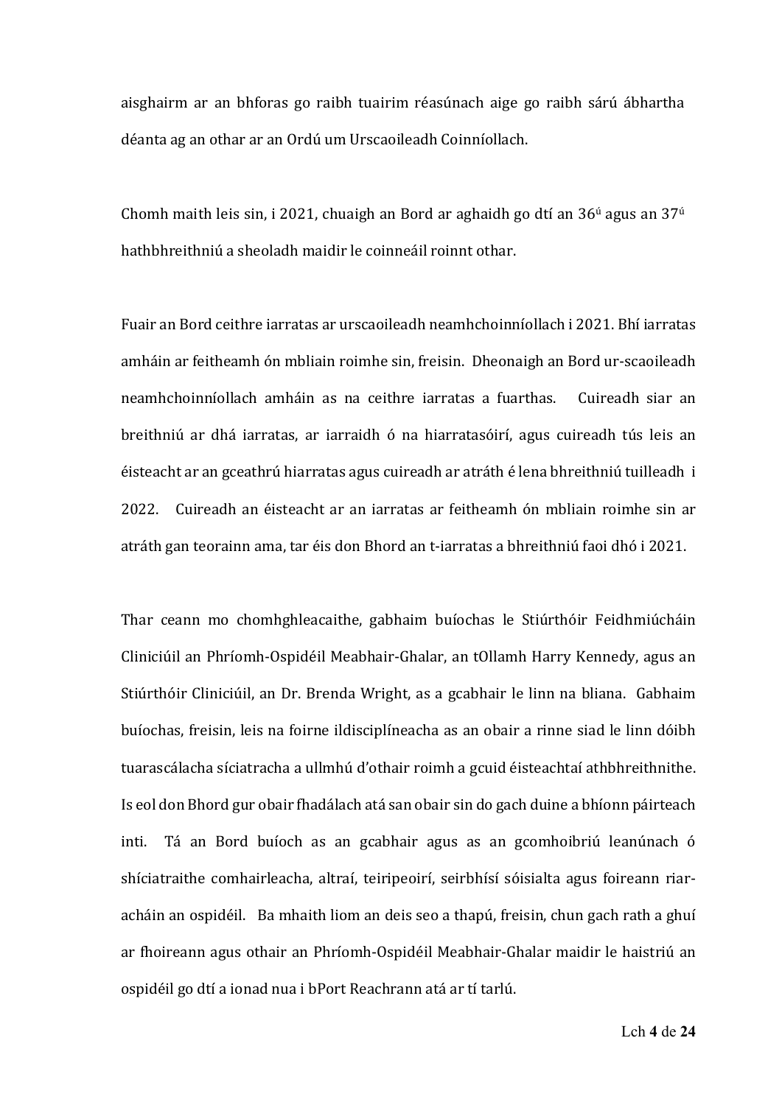aisghairm ar an bhforas go raibh tuairim réasúnach aige go raibh sárú ábhartha déanta ag an othar ar an Ordú um Urscaoileadh Coinníollach.

Chomh maith leis sin, i 2021, chuaigh an Bord ar aghaidh go dtí an  $36<sup>ú</sup>$  agus an  $37<sup>ú</sup>$ hathbhreithniú a sheoladh maidir le coinneáil roinnt othar.

Fuair an Bord ceithre iarratas ar urscaoileadh neamhchoinníollach i 2021. Bhí iarratas amháin ar feitheamh ón mbliain roimhe sin, freisin. Dheonaigh an Bord ur‐scaoileadh neamhchoinníollach amháin as na ceithre iarratas a fuarthas. Cuireadh siar an breithniú ar dhá iarratas, ar iarraidh ó na hiarratasóirí, agus cuireadh tús leis an éisteacht ar an gceathrú hiarratas agus cuireadh ar atráth é lena bhreithniú tuilleadh i 2022. Cuireadh an éisteacht ar an iarratas ar feitheamh ón mbliain roimhe sin ar atráth gan teorainn ama, tar éis don Bhord an t‐iarratas a bhreithniú faoi dhó i 2021. 

 Thar ceann mo chomhghleacaithe, gabhaim buíochas le Stiúrthóir Feidhmiúcháin Cliniciúil an Phríomh‐Ospidéil Meabhair‐Ghalar, an tOllamh Harry Kennedy, agus an Stiúrthóir Cliniciúil, an Dr. Brenda Wright, as a gcabhair le linn na bliana. Gabhaim buíochas, freisin, leis na foirne ildisciplíneacha as an obair a rinne siad le linn dóibh tuarascálacha síciatracha a ullmhú d'othair roimh a gcuid éisteachtaí athbhreithnithe. Is eol don Bhord gur obair fhadálach atá san obair sin do gach duine a bhíonn páirteach inti. Tá an Bord buíoch as an gcabhair agus as an gcomhoibriú leanúnach ó shíciatraithe comhairleacha, altraí, teiripeoirí, seirbhísí sóisialta agus foireann riar‐ acháin an ospidéil. Ba mhaith liom an deis seo a thapú, freisin, chun gach rath a ghuí ar fhoireann agus othair an Phríomh‐Ospidéil Meabhair‐Ghalar maidir le haistriú an ospidéil go dtí a ionad nua i bPort Reachrann atá ar tí tarlú.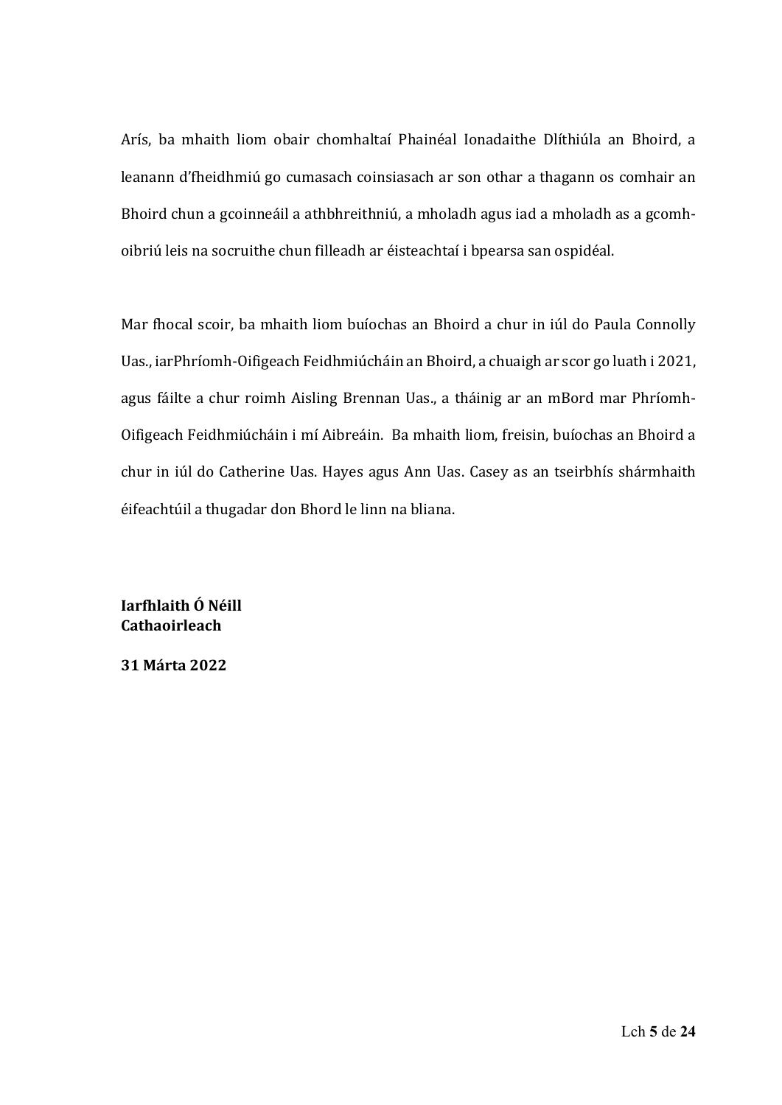Arís, ba mhaith liom obair chomhaltaí Phainéal Ionadaithe Dlíthiúla an Bhoird, a leanann d'fheidhmiú go cumasach coinsiasach ar son othar a thagann os comhair an Bhoird chun a gcoinneáil a athbhreithniú, a mholadh agus iad a mholadh as a gcomh‐ oibriú leis na socruithe chun filleadh ar éisteachtaí i bpearsa san ospidéal.

Mar fhocal scoir, ba mhaith liom buíochas an Bhoird a chur in iúl do Paula Connolly Uas., iarPhríomh‐Oifigeach Feidhmiúcháin an Bhoird, a chuaigh ar scor go luath i 2021, agus fáilte a chur roimh Aisling Brennan Uas., a tháinig ar an mBord mar Phríomh‐ Oifigeach Feidhmiúcháin i mí Aibreáin. Ba mhaith liom, freisin, buíochas an Bhoird a chur in iúl do Catherine Uas. Hayes agus Ann Uas. Casey as an tseirbhís shármhaith éifeachtúil a thugadar don Bhord le linn na bliana. 

**Iarfhlaith Ó Néill Cathaoirleach**

**31 Márta 2022**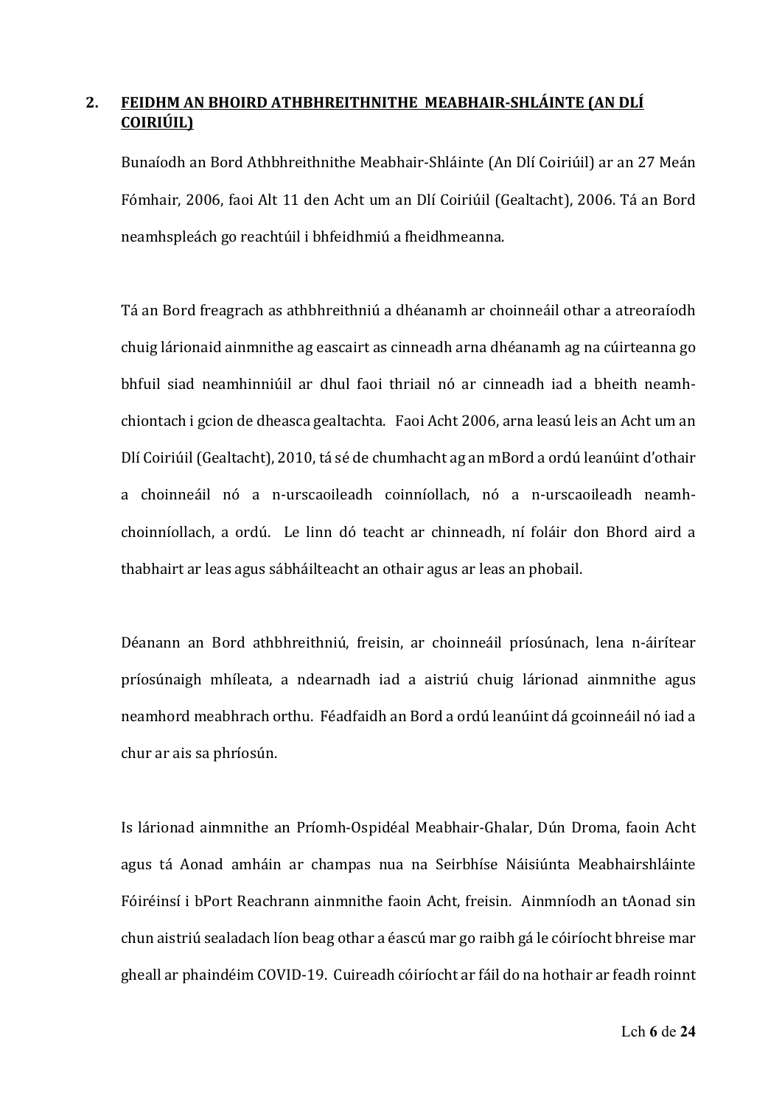# **2. FEIDHM AN BHOIRD ATHBHREITHNITHE MEABHAIR‐SHLÁINTE (AN DLÍ COIRIÚIL)**

Bunaíodh an Bord Athbhreithnithe Meabhair‐Shláinte (An Dlí Coiriúil) ar an 27 Meán Fómhair, 2006, faoi Alt 11 den Acht um an Dlí Coiriúil (Gealtacht), 2006. Tá an Bord neamhspleách go reachtúil i bhfeidhmiú a fheidhmeanna. 

Tá an Bord freagrach as athbhreithniú a dhéanamh ar choinneáil othar a atreoraíodh chuig lárionaid ainmnithe ag eascairt as cinneadh arna dhéanamh ag na cúirteanna go bhfuil siad neamhinniúil ar dhul faoi thriail nó ar cinneadh iad a bheith neamh‐ chiontach i gcion de dheasca gealtachta. Faoi Acht 2006, arna leasú leis an Acht um an Dlí Coiriúil (Gealtacht), 2010, tá sé de chumhacht ag an mBord a ordú leanúint d'othair a choinneáil nó a n‐urscaoileadh coinníollach, nó a n‐urscaoileadh neamh‐ choinníollach, a ordú. Le linn dó teacht ar chinneadh, ní foláir don Bhord aird a thabhairt ar leas agus sábháilteacht an othair agus ar leas an phobail.

Déanann an Bord athbhreithniú, freisin, ar choinneáil príosúnach, lena n‐áirítear príosúnaigh mhíleata, a ndearnadh iad a aistriú chuig lárionad ainmnithe agus neamhord meabhrach orthu. Féadfaidh an Bord a ordú leanúint dá gcoinneáil nó iad a chur ar ais sa phríosún. 

Is lárionad ainmnithe an Príomh‐Ospidéal Meabhair‐Ghalar, Dún Droma, faoin Acht agus tá Aonad amháin ar champas nua na Seirbhíse Náisiúnta Meabhairshláinte Fóiréinsí i bPort Reachrann ainmnithe faoin Acht, freisin. Ainmníodh an tAonad sin chun aistriú sealadach líon beag othar a éascú mar go raibh gá le cóiríocht bhreise mar gheall ar phaindéim COVID-19. Cuireadh cóiríocht ar fáil do na hothair ar feadh roinnt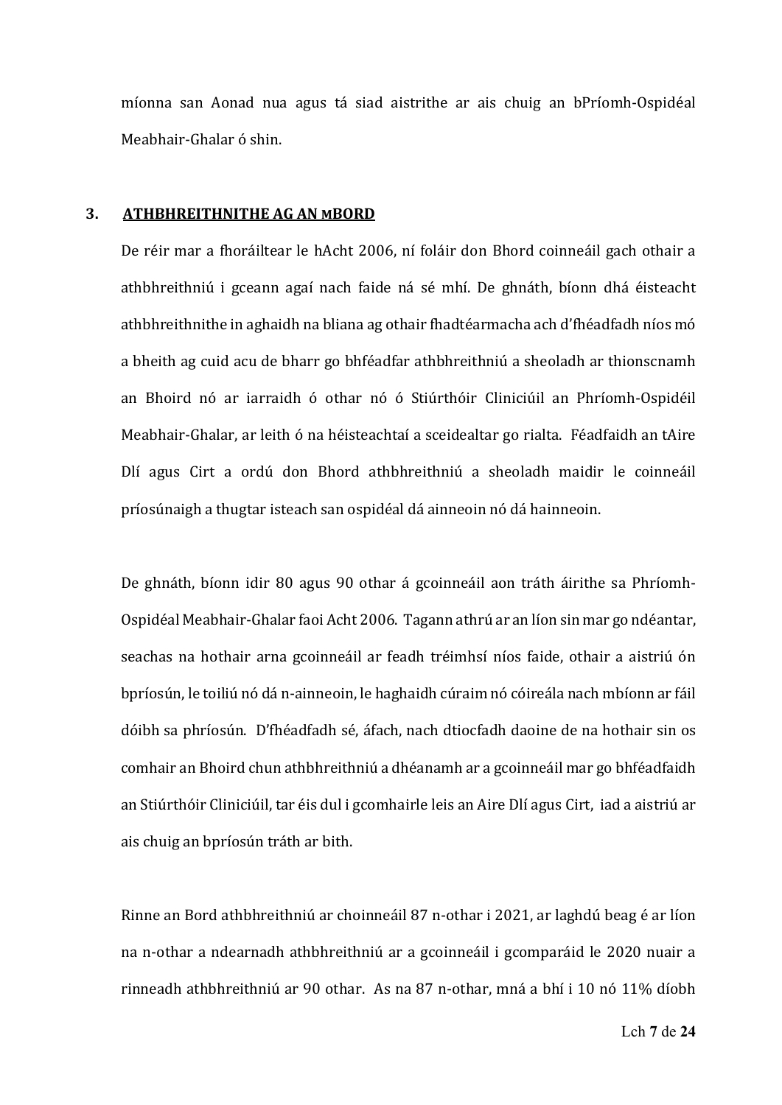míonna san Aonad nua agus tá siad aistrithe ar ais chuig an bPríomh‐Ospidéal Meabhair‐Ghalar ó shin.

#### **3. ATHBHREITHNITHE AG AN MBORD**

De réir mar a fhoráiltear le hAcht 2006, ní foláir don Bhord coinneáil gach othair a athbhreithniú i gceann agaí nach faide ná sé mhí. De ghnáth, bíonn dhá éisteacht athbhreithnithe in aghaidh na bliana ag othair fhadtéarmacha ach d'fhéadfadh níos mó a bheith ag cuid acu de bharr go bhféadfar athbhreithniú a sheoladh ar thionscnamh an Bhoird nó ar iarraidh ó othar nó ó Stiúrthóir Cliniciúil an Phríomh‐Ospidéil Meabhair-Ghalar, ar leith ó na héisteachtaí a sceidealtar go rialta. Féadfaidh an tAire Dlí agus Cirt a ordú don Bhord athbhreithniú a sheoladh maidir le coinneáil príosúnaigh a thugtar isteach san ospidéal dá ainneoin nó dá hainneoin.

De ghnáth, bíonn idir 80 agus 90 othar á gcoinneáil aon tráth áirithe sa Phríomh-Ospidéal Meabhair‐Ghalar faoi Acht 2006. Tagann athrú ar an líon sin mar go ndéantar, seachas na hothair arna gcoinneáil ar feadh tréimhsí níos faide, othair a aistriú ón bpríosún, le toiliú nó dá n‐ainneoin, le haghaidh cúraim nó cóireála nach mbíonn ar fáil dóibh sa phríosún. D'fhéadfadh sé, áfach, nach dtiocfadh daoine de na hothair sin os comhair an Bhoird chun athbhreithniú a dhéanamh ar a gcoinneáil mar go bhféadfaidh an Stiúrthóir Cliniciúil, tar éis dul i gcomhairle leis an Aire Dlí agus Cirt, iad a aistriú ar ais chuig an bpríosún tráth ar bith. 

Rinne an Bord athbhreithniú ar choinneáil 87 n‐othar i 2021, ar laghdú beag é ar líon na n‐othar a ndearnadh athbhreithniú ar a gcoinneáil i gcomparáid le 2020 nuair a rinneadh athbhreithniú ar 90 othar. As na 87 n-othar, mná a bhí i 10 nó 11% díobh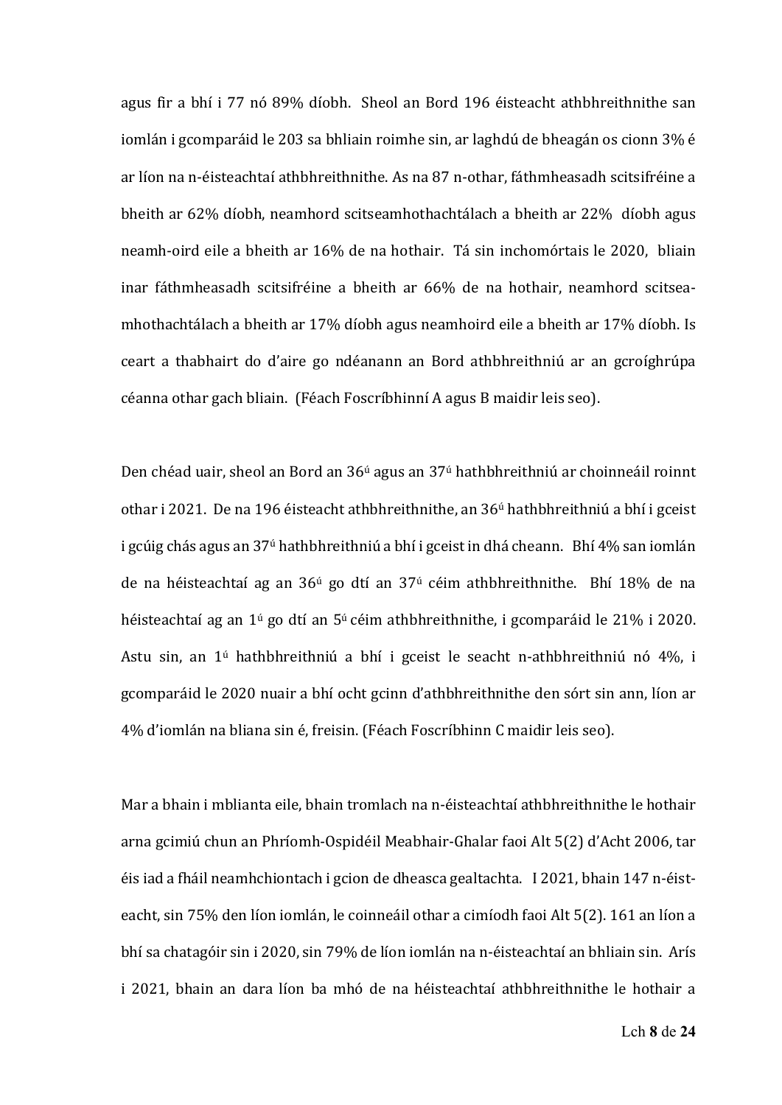agus fir a bhí i 77 nó 89% díobh. Sheol an Bord 196 éisteacht athbhreithnithe san iomlán i gcomparáid le 203 sa bhliain roimhe sin, ar laghdú de bheagán os cionn 3% é ar líon na n‐éisteachtaí athbhreithnithe. As na 87 n‐othar, fáthmheasadh scitsifréine a bheith ar 62% díobh, neamhord scitseamhothachtálach a bheith ar 22% díobh agus neamh-oird eile a bheith ar 16% de na hothair. Tá sin inchomórtais le 2020, bliain inar fáthmheasadh scitsifréine a bheith ar 66% de na hothair, neamhord scitseamhothachtálach a bheith ar 17% díobh agus neamhoird eile a bheith ar 17% díobh. Is ceart a thabhairt do d'aire go ndéanann an Bord athbhreithniú ar an gcroíghrúpa céanna othar gach bliain. (Féach Foscríbhinní A agus B maidir leis seo). 

Den chéad uair, sheol an Bord an 36ú agus an 37ú hathbhreithniú ar choinneáil roinnt othar i 2021. De na 196 éisteacht athbhreithnithe, an 36<sup>ú</sup> hathbhreithniú a bhí i gceist i gcúig chás agus an 37<sup>ú</sup> hathbhreithniú a bhí i gceist in dhá cheann. Bhí 4% san iomlán de na héisteachtaí ag an  $36<sup>ú</sup>$  go dtí an  $37<sup>ú</sup>$  céim athbhreithnithe. Bhí 18% de na héisteachtaí ag an 1ú go dtí an 5ú céim athbhreithnithe, i gcomparáid le 21% i 2020. Astu sin, an 1ú hathbhreithniú a bhí i gceist le seacht n‐athbhreithniú nó 4%, i gcomparáid le 2020 nuair a bhí ocht gcinn d'athbhreithnithe den sórt sin ann, líon ar 4% d'iomlán na bliana sin é, freisin. (Féach Foscríbhinn C maidir leis seo). 

Mar a bhain i mblianta eile, bhain tromlach na n‐éisteachtaí athbhreithnithe le hothair arna gcimiú chun an Phríomh‐Ospidéil Meabhair‐Ghalar faoi Alt 5(2) d'Acht 2006, tar éis iad a fháil neamhchiontach i gcion de dheasca gealtachta. I 2021, bhain 147 n‐éist‐ eacht, sin 75% den líon iomlán, le coinneáil othar a cimíodh faoi Alt 5(2). 161 an líon a bhí sa chatagóir sin i 2020, sin 79% de líon iomlán na n-éisteachtaí an bhliain sin. Arís i 2021, bhain an dara líon ba mhó de na héisteachtaí athbhreithnithe le hothair a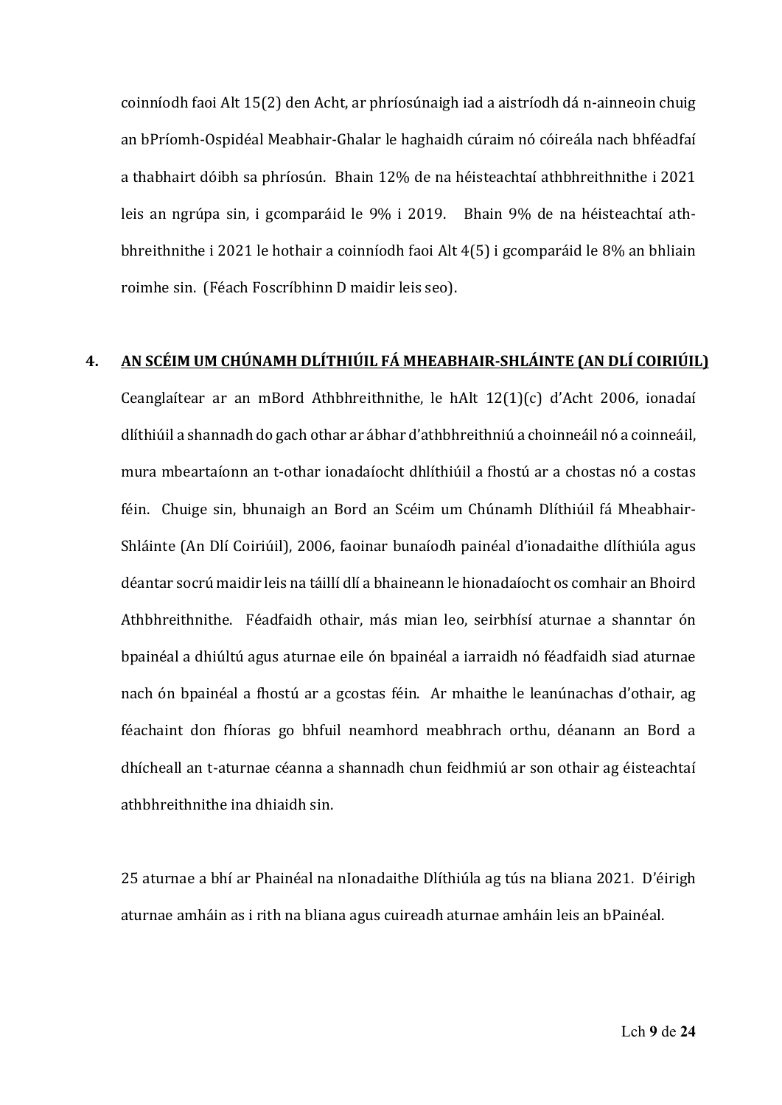coinníodh faoi Alt 15(2) den Acht, ar phríosúnaigh iad a aistríodh dá n‐ainneoin chuig an bPríomh‐Ospidéal Meabhair‐Ghalar le haghaidh cúraim nó cóireála nach bhféadfaí a thabhairt dóibh sa phríosún. Bhain 12% de na héisteachtaí athbhreithnithe i 2021 leis an ngrúpa sin, i gcomparáid le 9% i 2019. Bhain 9% de na héisteachtaí athbhreithnithe i 2021 le hothair a coinníodh faoi Alt 4(5) i gcomparáid le 8% an bhliain roimhe sin. (Féach Foscríbhinn D maidir leis seo).

## **4. AN SCÉIM UM CHÚNAMH DLÍTHIÚIL FÁ MHEABHAIR‐SHLÁINTE (AN DLÍ COIRIÚIL)**

Ceanglaítear ar an mBord Athbhreithnithe, le hAlt 12(1)(c) d'Acht 2006, ionadaí dlíthiúil a shannadh do gach othar ar ábhar d'athbhreithniú a choinneáil nó a coinneáil, mura mbeartaíonn an t‐othar ionadaíocht dhlíthiúil a fhostú ar a chostas nó a costas féin. Chuige sin, bhunaigh an Bord an Scéim um Chúnamh Dlíthiúil fá Mheabhair-Shláinte (An Dlí Coiriúil), 2006, faoinar bunaíodh painéal d'ionadaithe dlíthiúla agus déantar socrú maidir leis na táillí dlí a bhaineann le hionadaíocht os comhair an Bhoird Athbhreithnithe. Féadfaidh othair, más mian leo, seirbhísí aturnae a shanntar ón bpainéal a dhiúltú agus aturnae eile ón bpainéal a iarraidh nó féadfaidh siad aturnae nach ón bpainéal a fhostú ar a gcostas féin. Ar mhaithe le leanúnachas d'othair, ag féachaint don fhíoras go bhfuil neamhord meabhrach orthu, déanann an Bord a dhícheall an t‐aturnae céanna a shannadh chun feidhmiú ar son othair ag éisteachtaí athbhreithnithe ina dhiaidh sin.

25 aturnae a bhí ar Phainéal na nIonadaithe Dlíthiúla ag tús na bliana 2021. D'éirigh aturnae amháin as i rith na bliana agus cuireadh aturnae amháin leis an bPainéal.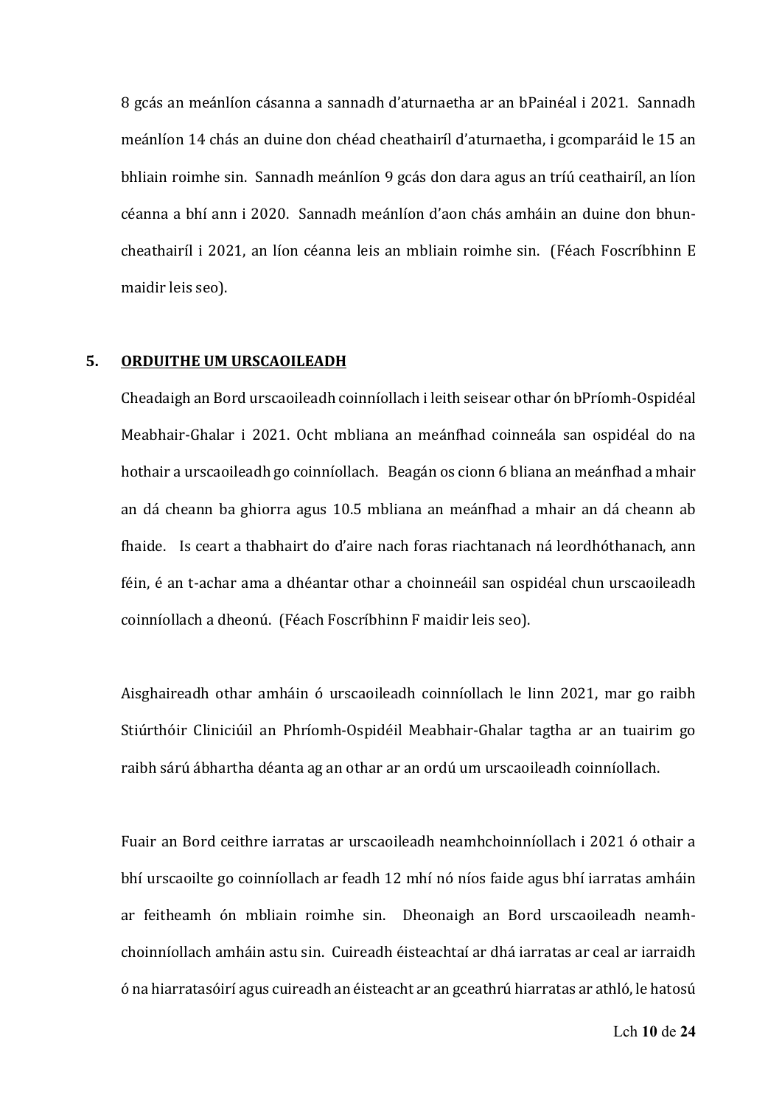8 gcás an meánlíon cásanna a sannadh d'aturnaetha ar an bPainéal i 2021. Sannadh meánlíon 14 chás an duine don chéad cheathairíl d'aturnaetha, i gcomparáid le 15 an bhliain roimhe sin. Sannadh meánlíon 9 gcás don dara agus an tríú ceathairíl, an líon céanna a bhí ann i 2020. Sannadh meánlíon d'aon chás amháin an duine don bhun‐ cheathairíl i 2021, an líon céanna leis an mbliain roimhe sin. (Féach Foscríbhinn E maidir leis seo). 

#### **5. ORDUITHE UM URSCAOILEADH**

Cheadaigh an Bord urscaoileadh coinníollach i leith seisear othar ón bPríomh‐Ospidéal Meabhair‐Ghalar i 2021. Ocht mbliana an meánfhad coinneála san ospidéal do na hothair a urscaoileadh go coinníollach. Beagán os cionn 6 bliana an meánfhad a mhair an dá cheann ba ghiorra agus 10.5 mbliana an meánfhad a mhair an dá cheann ab fhaide. Is ceart a thabhairt do d'aire nach foras riachtanach ná leordhóthanach, ann féin, é an t‐achar ama a dhéantar othar a choinneáil san ospidéal chun urscaoileadh coinníollach a dheonú. (Féach Foscríbhinn F maidir leis seo).

Aisghaireadh othar amháin ó urscaoileadh coinníollach le linn 2021, mar go raibh Stiúrthóir Cliniciúil an Phríomh‐Ospidéil Meabhair‐Ghalar tagtha ar an tuairim go raibh sárú ábhartha déanta ag an othar ar an ordú um urscaoileadh coinníollach. 

Fuair an Bord ceithre iarratas ar urscaoileadh neamhchoinníollach i 2021 ó othair a bhí urscaoilte go coinníollach ar feadh 12 mhí nó níos faide agus bhí iarratas amháin ar feitheamh ón mbliain roimhe sin. Dheonaigh an Bord urscaoileadh neamh‐ choinníollach amháin astu sin. Cuireadh éisteachtaí ar dhá iarratas ar ceal ar iarraidh ó na hiarratasóirí agus cuireadh an éisteacht ar an gceathrú hiarratas ar athló, le hatosú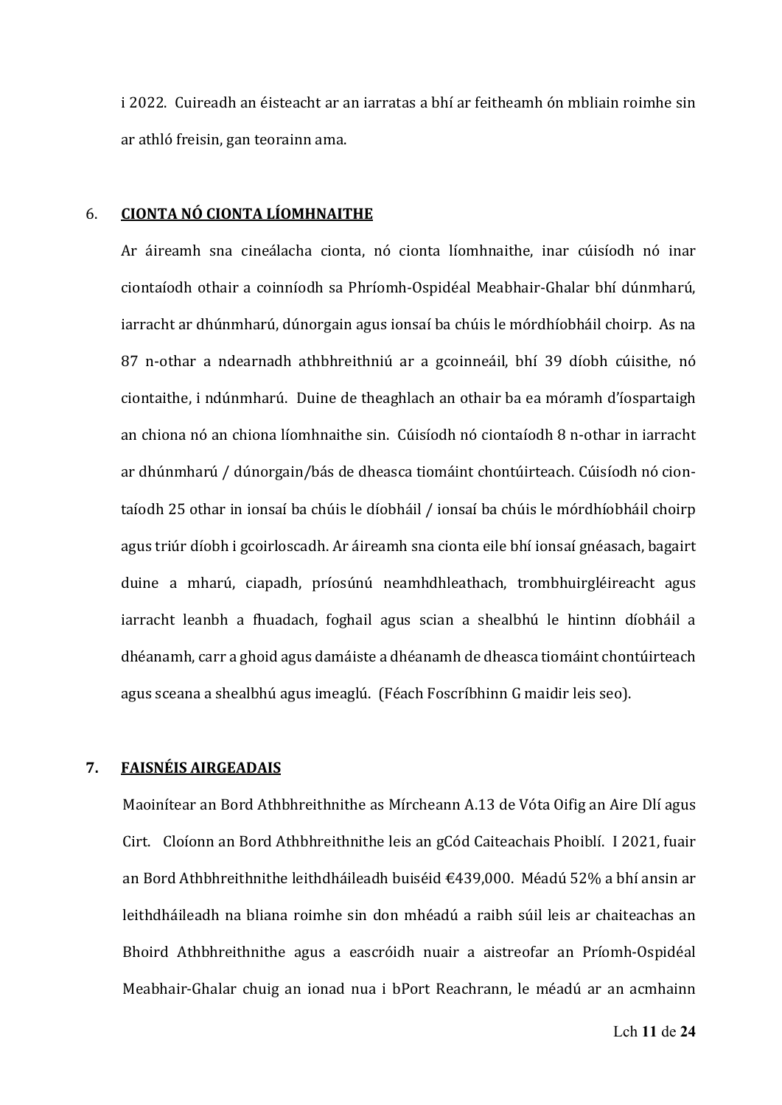i 2022. Cuireadh an éisteacht ar an iarratas a bhí ar feitheamh ón mbliain roimhe sin ar athló freisin, gan teorainn ama.

#### 6. **CIONTA NÓ CIONTA LÍOMHNAITHE**

Ar áireamh sna cineálacha cionta, nó cionta líomhnaithe, inar cúisíodh nó inar ciontaíodh othair a coinníodh sa Phríomh‐Ospidéal Meabhair‐Ghalar bhí dúnmharú, iarracht ar dhúnmharú, dúnorgain agus ionsaí ba chúis le mórdhíobháil choirp. As na 87 n‐othar a ndearnadh athbhreithniú ar a gcoinneáil, bhí 39 díobh cúisithe, nó ciontaithe, i ndúnmharú. Duine de theaghlach an othair ba ea móramh d'íospartaigh an chiona nó an chiona líomhnaithe sin. Cúisíodh nó ciontaíodh 8 n‐othar in iarracht ar dhúnmharú / dúnorgain/bás de dheasca tiomáint chontúirteach. Cúisíodh nó cion‐ taíodh 25 othar in ionsaí ba chúis le díobháil / ionsaí ba chúis le mórdhíobháil choirp agus triúr díobh i gcoirloscadh. Ar áireamh sna cionta eile bhí ionsaí gnéasach, bagairt duine a mharú, ciapadh, príosúnú neamhdhleathach, trombhuirgléireacht agus iarracht leanbh a fhuadach, foghail agus scian a shealbhú le hintinn díobháil a dhéanamh, carr a ghoid agus damáiste a dhéanamh de dheasca tiomáint chontúirteach agus sceana a shealbhú agus imeaglú. (Féach Foscríbhinn G maidir leis seo).

## **7. FAISNÉIS AIRGEADAIS**

Maoinítear an Bord Athbhreithnithe as Mírcheann A.13 de Vóta Oifig an Aire Dlí agus Cirt. Cloíonn an Bord Athbhreithnithe leis an gCód Caiteachais Phoiblí. I 2021, fuair an Bord Athbhreithnithe leithdháileadh buiséid €439,000. Méadú 52% a bhí ansin ar leithdháileadh na bliana roimhe sin don mhéadú a raibh súil leis ar chaiteachas an Bhoird Athbhreithnithe agus a eascróidh nuair a aistreofar an Príomh‐Ospidéal Meabhair‐Ghalar chuig an ionad nua i bPort Reachrann, le méadú ar an acmhainn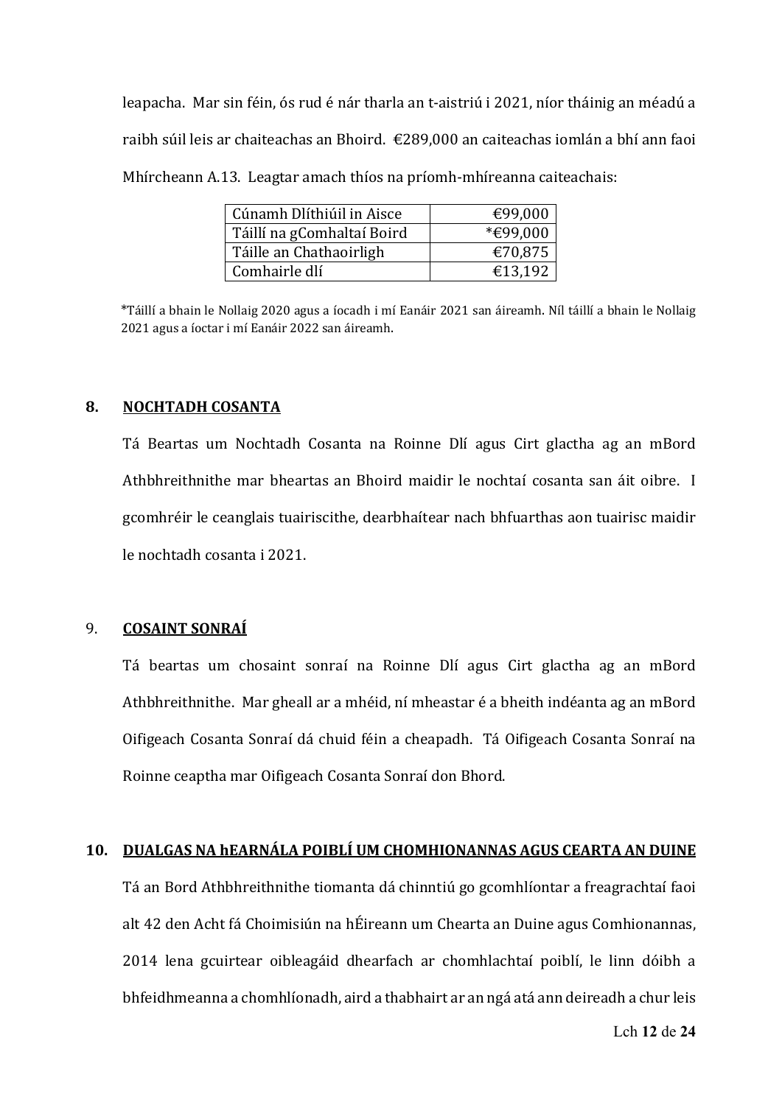leapacha. Mar sin féin, ós rud é nár tharla an t‐aistriú i 2021, níor tháinig an méadú a raibh súil leis ar chaiteachas an Bhoird.  $\epsilon$ 289,000 an caiteachas iomlán a bhí ann faoi Mhírcheann A.13. Leagtar amach thíos na príomh-mhíreanna caiteachais:

| Cúnamh Dlíthiúil in Aisce  | €99,000  |
|----------------------------|----------|
| Táillí na gComhaltaí Boird | *€99,000 |
| Táille an Chathaoirligh    | €70,875  |
| Comhairle dlí              | €13,192  |

\*Táillí a bhain le Nollaig 2020 agus a íocadh i mí Eanáir 2021 san áireamh. Níl táillí a bhain le Nollaig 2021 agus a íoctar i mí Eanáir 2022 san áireamh.

### **8. NOCHTADH COSANTA**

Tá Beartas um Nochtadh Cosanta na Roinne Dlí agus Cirt glactha ag an mBord Athbhreithnithe mar bheartas an Bhoird maidir le nochtaí cosanta san áit oibre. I gcomhréir le ceanglais tuairiscithe, dearbhaítear nach bhfuarthas aon tuairisc maidir le nochtadh cosanta i 2021.

## 9. **COSAINT SONRAÍ**

Tá beartas um chosaint sonraí na Roinne Dlí agus Cirt glactha ag an mBord Athbhreithnithe. Mar gheall ar a mhéid, ní mheastar é a bheith indéanta ag an mBord Oifigeach Cosanta Sonraí dá chuid féin a cheapadh. Tá Oifigeach Cosanta Sonraí na Roinne ceaptha mar Oifigeach Cosanta Sonraí don Bhord. 

## **10. DUALGAS NA hEARNÁLA POIBLÍ UM CHOMHIONANNAS AGUS CEARTA AN DUINE**

Tá an Bord Athbhreithnithe tiomanta dá chinntiú go gcomhlíontar a freagrachtaí faoi alt 42 den Acht fá Choimisiún na hÉireann um Chearta an Duine agus Comhionannas, 2014 lena gcuirtear oibleagáid dhearfach ar chomhlachtaí poiblí, le linn dóibh a bhfeidhmeanna a chomhlíonadh, aird a thabhairt ar an ngá atá ann deireadh a chur leis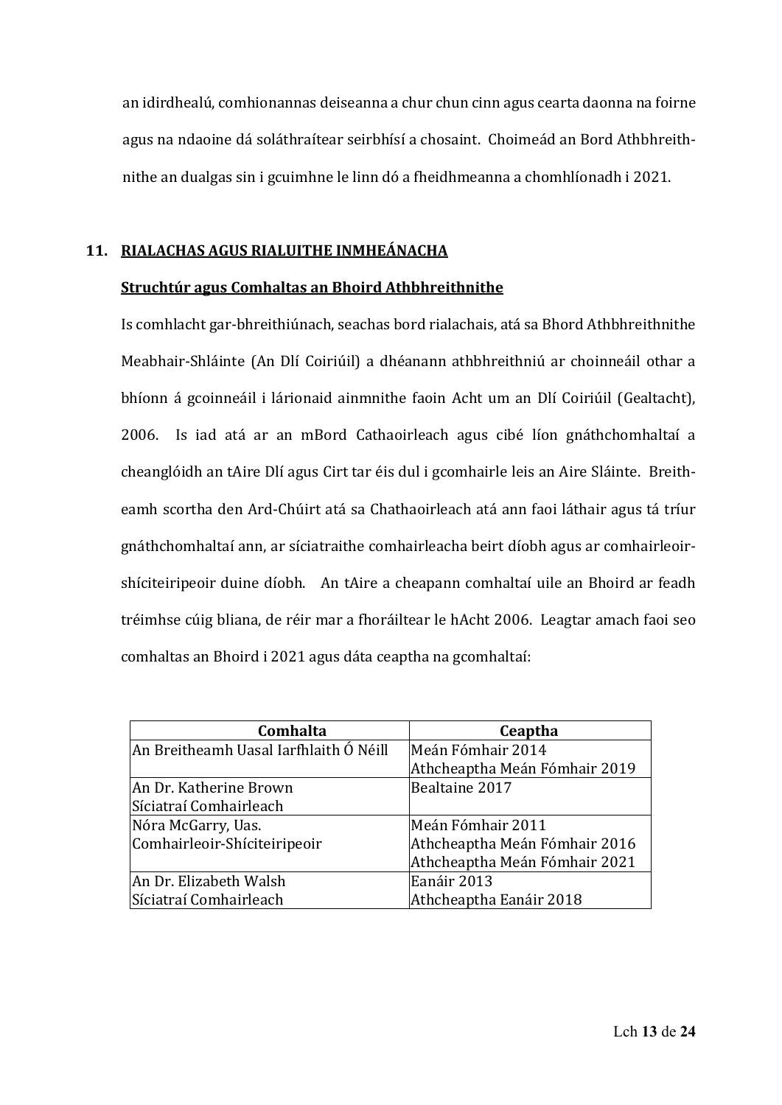an idirdhealú, comhionannas deiseanna a chur chun cinn agus cearta daonna na foirne agus na ndaoine dá soláthraítear seirbhísí a chosaint. Choimeád an Bord Athbhreithnithe an dualgas sin i gcuimhne le linn dó a fheidhmeanna a chomhlíonadh i 2021. 

## **11. RIALACHAS AGUS RIALUITHE INMHEÁNACHA**

### **Struchtúr agus Comhaltas an Bhoird Athbhreithnithe**

Is comhlacht gar‐bhreithiúnach, seachas bord rialachais, atá sa Bhord Athbhreithnithe Meabhair‐Shláinte (An Dlí Coiriúil) a dhéanann athbhreithniú ar choinneáil othar a bhíonn á gcoinneáil i lárionaid ainmnithe faoin Acht um an Dlí Coiriúil (Gealtacht), 2006. Is iad atá ar an mBord Cathaoirleach agus cibé líon gnáthchomhaltaí a cheanglóidh an tAire Dlí agus Cirt tar éis dul i gcomhairle leis an Aire Sláinte. Breitheamh scortha den Ard‐Chúirt atá sa Chathaoirleach atá ann faoi láthair agus tá tríur gnáthchomhaltaí ann, ar síciatraithe comhairleacha beirt díobh agus ar comhairleoir‐ shíciteiripeoir duine díobh. An tAire a cheapann comhaltaí uile an Bhoird ar feadh tréimhse cúig bliana, de réir mar a fhoráiltear le hAcht 2006. Leagtar amach faoi seo comhaltas an Bhoird i 2021 agus dáta ceaptha na gcomhaltaí:

| Comhalta                               | Ceaptha                       |
|----------------------------------------|-------------------------------|
| An Breitheamh Uasal Iarfhlaith Ó Néill | Meán Fómhair 2014             |
|                                        | Athcheaptha Meán Fómhair 2019 |
| An Dr. Katherine Brown                 | Bealtaine 2017                |
| Síciatraí Comhairleach                 |                               |
| Nóra McGarry, Uas.                     | Meán Fómhair 2011             |
| Comhairleoir-Shíciteiripeoir           | Athcheaptha Meán Fómhair 2016 |
|                                        | Athcheaptha Meán Fómhair 2021 |
| An Dr. Elizabeth Walsh                 | Eanáir 2013                   |
| Síciatraí Comhairleach                 | Athcheaptha Eanáir 2018       |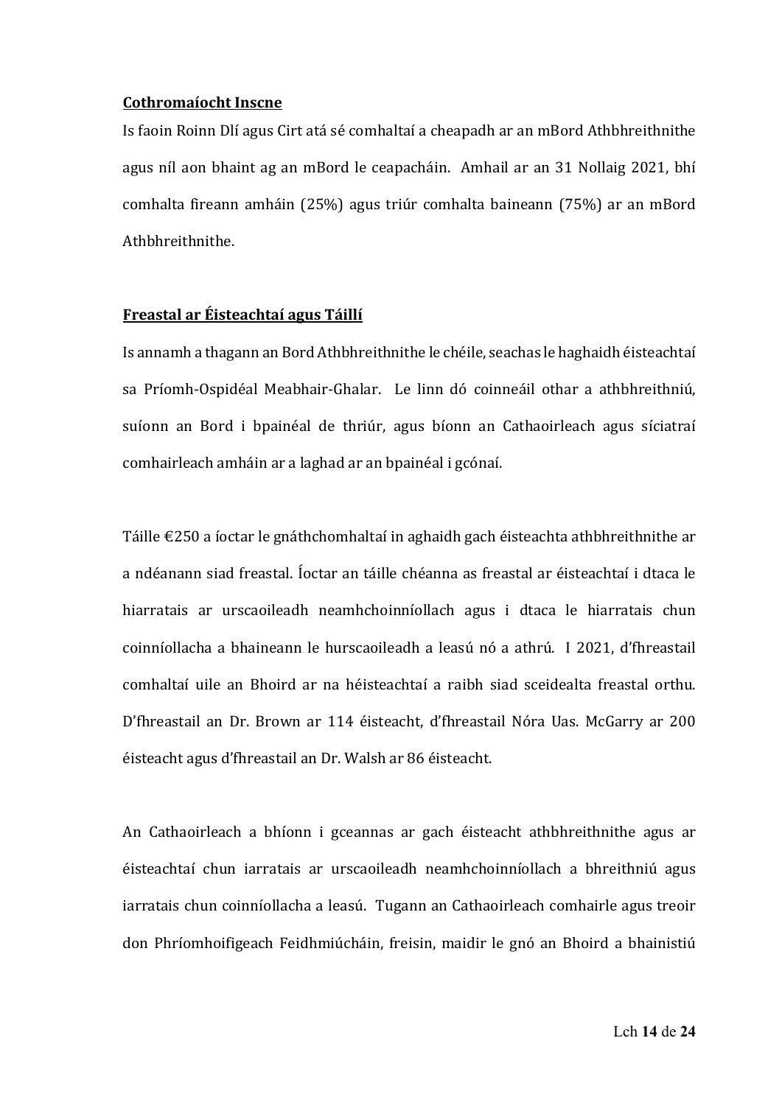#### **Cothromaíocht Inscne**

Is faoin Roinn Dlí agus Cirt atá sé comhaltaí a cheapadh ar an mBord Athbhreithnithe agus níl aon bhaint ag an mBord le ceapacháin. Amhail ar an 31 Nollaig 2021, bhí comhalta fireann amháin (25%) agus triúr comhalta baineann (75%) ar an mBord Athbhreithnithe.

## **Freastal ar Éisteachtaí agus Táillí**

Is annamh a thagann an Bord Athbhreithnithe le chéile, seachas le haghaidh éisteachtaí sa Príomh-Ospidéal Meabhair-Ghalar. Le linn dó coinneáil othar a athbhreithniú, suíonn an Bord i bpainéal de thriúr, agus bíonn an Cathaoirleach agus síciatraí comhairleach amháin ar a laghad ar an bpainéal i gcónaí.

Táille €250 a íoctar le gnáthchomhaltaí in aghaidh gach éisteachta athbhreithnithe ar a ndéanann siad freastal. Íoctar an táille chéanna as freastal ar éisteachtaí i dtaca le hiarratais ar urscaoileadh neamhchoinníollach agus i dtaca le hiarratais chun coinníollacha a bhaineann le hurscaoileadh a leasú nó a athrú. I 2021, d'fhreastail comhaltaí uile an Bhoird ar na héisteachtaí a raibh siad sceidealta freastal orthu. D'fhreastail an Dr. Brown ar 114 éisteacht, d'fhreastail Nóra Uas. McGarry ar 200 éisteacht agus d'fhreastail an Dr. Walsh ar 86 éisteacht. 

An Cathaoirleach a bhíonn i gceannas ar gach éisteacht athbhreithnithe agus ar éisteachtaí chun iarratais ar urscaoileadh neamhchoinníollach a bhreithniú agus iarratais chun coinníollacha a leasú. Tugann an Cathaoirleach comhairle agus treoir don Phríomhoifigeach Feidhmiúcháin, freisin, maidir le gnó an Bhoird a bhainistiú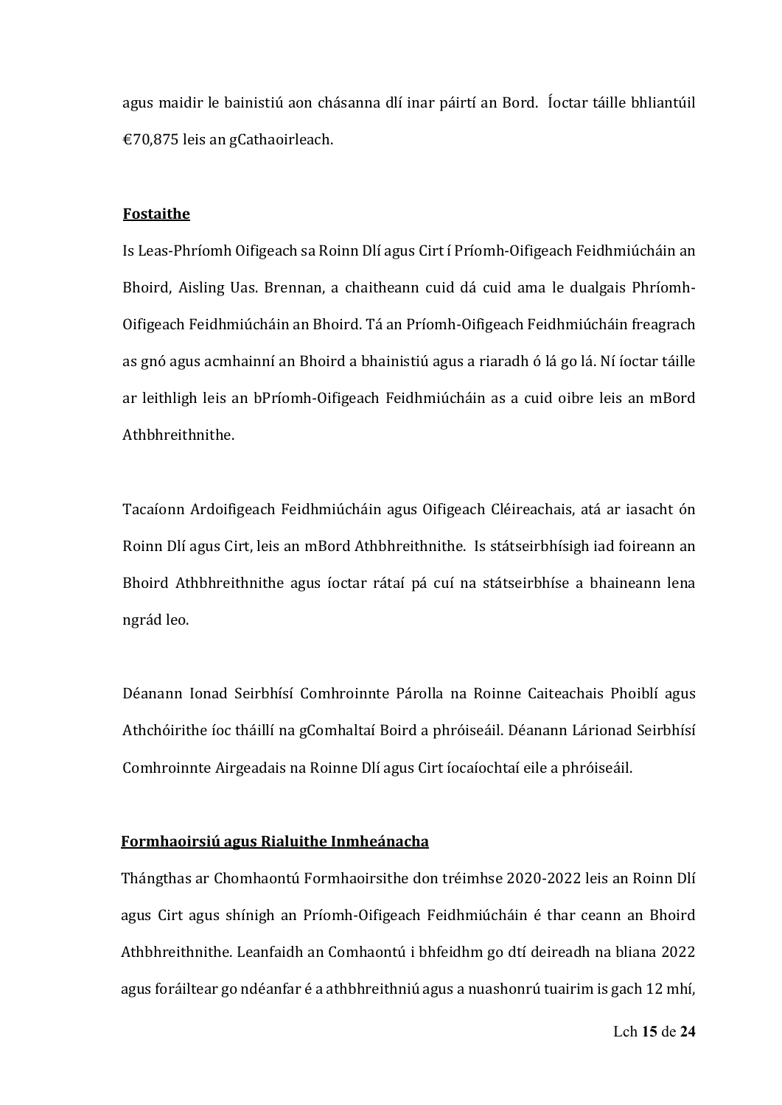agus maidir le bainistiú aon chásanna dlí inar páirtí an Bord. Íoctar táille bhliantúil €70,875 leis an gCathaoirleach.

#### **Fostaithe**

Is Leas‐Phríomh Oifigeach sa Roinn Dlí agus Cirt í Príomh‐Oifigeach Feidhmiúcháin an Bhoird, Aisling Uas. Brennan, a chaitheann cuid dá cuid ama le dualgais Phríomh‐ Oifigeach Feidhmiúcháin an Bhoird. Tá an Príomh‐Oifigeach Feidhmiúcháin freagrach as gnó agus acmhainní an Bhoird a bhainistiú agus a riaradh ó lá go lá. Ní íoctar táille ar leithligh leis an bPríomh‐Oifigeach Feidhmiúcháin as a cuid oibre leis an mBord Athbhreithnithe.

Tacaíonn Ardoifigeach Feidhmiúcháin agus Oifigeach Cléireachais, atá ar iasacht ón Roinn Dlí agus Cirt, leis an mBord Athbhreithnithe. Is státseirbhísigh iad foireann an Bhoird Athbhreithnithe agus íoctar rátaí pá cuí na státseirbhíse a bhaineann lena ngrád leo. 

Déanann Ionad Seirbhísí Comhroinnte Párolla na Roinne Caiteachais Phoiblí agus Athchóirithe íoc tháillí na gComhaltaí Boird a phróiseáil. Déanann Lárionad Seirbhísí Comhroinnte Airgeadais na Roinne Dlí agus Cirt íocaíochtaí eile a phróiseáil.

#### **Formhaoirsiú agus Rialuithe Inmheánacha**

Thángthas ar Chomhaontú Formhaoirsithe don tréimhse 2020‐2022 leis an Roinn Dlí agus Cirt agus shínigh an Príomh‐Oifigeach Feidhmiúcháin é thar ceann an Bhoird Athbhreithnithe. Leanfaidh an Comhaontú i bhfeidhm go dtí deireadh na bliana 2022 agus foráiltear go ndéanfar é a athbhreithniú agus a nuashonrú tuairim is gach 12 mhí,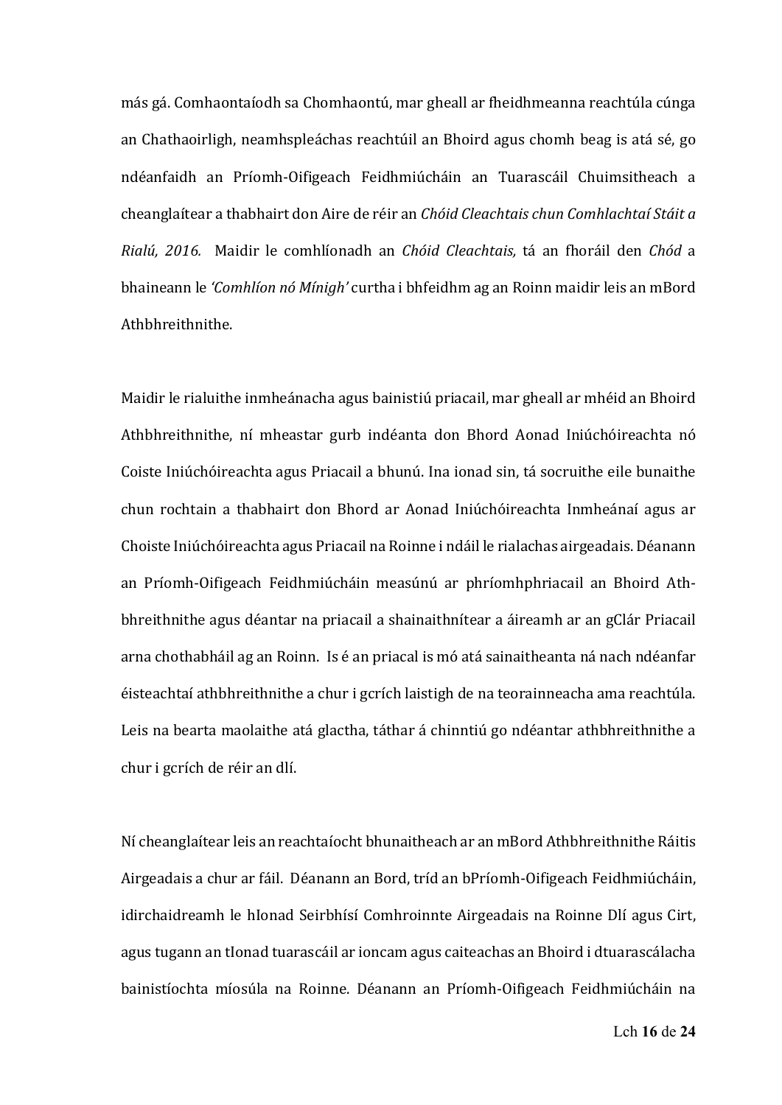más gá. Comhaontaíodh sa Chomhaontú, mar gheall ar fheidhmeanna reachtúla cúnga an Chathaoirligh, neamhspleáchas reachtúil an Bhoird agus chomh beag is atá sé, go ndéanfaidh an Príomh‐Oifigeach Feidhmiúcháin an Tuarascáil Chuimsitheach a cheanglaítear a thabhairt don Aire de réir an *Chóid Cleachtais chun Comhlachtaí Stáit a Rialú, 2016.*  Maidir le comhlíonadh an *Chóid Cleachtais,* tá an fhoráil den *Chód* a bhaineann le *'Comhlíon nó Mínigh'* curtha i bhfeidhm ag an Roinn maidir leis an mBord Athbhreithnithe. 

Maidir le rialuithe inmheánacha agus bainistiú priacail, mar gheall ar mhéid an Bhoird Athbhreithnithe, ní mheastar gurb indéanta don Bhord Aonad Iniúchóireachta nó Coiste Iniúchóireachta agus Priacail a bhunú. Ina ionad sin, tá socruithe eile bunaithe chun rochtain a thabhairt don Bhord ar Aonad Iniúchóireachta Inmheánaí agus ar Choiste Iniúchóireachta agus Priacail na Roinne i ndáil le rialachas airgeadais. Déanann an Príomh‐Oifigeach Feidhmiúcháin measúnú ar phríomhphriacail an Bhoird Ath‐ bhreithnithe agus déantar na priacail a shainaithnítear a áireamh ar an gClár Priacail arna chothabháil ag an Roinn. Is é an priacal is mó atá sainaitheanta ná nach ndéanfar éisteachtaí athbhreithnithe a chur i gcrích laistigh de na teorainneacha ama reachtúla. Leis na bearta maolaithe atá glactha, táthar á chinntiú go ndéantar athbhreithnithe a chur i gcrích de réir an dlí.

Ní cheanglaítear leis an reachtaíocht bhunaitheach ar an mBord Athbhreithnithe Ráitis Airgeadais a chur ar fáil. Déanann an Bord, tríd an bPríomh‐Oifigeach Feidhmiúcháin, idirchaidreamh le hIonad Seirbhísí Comhroinnte Airgeadais na Roinne Dlí agus Cirt, agus tugann an tIonad tuarascáil ar ioncam agus caiteachas an Bhoird i dtuarascálacha bainistíochta míosúla na Roinne. Déanann an Príomh‐Oifigeach Feidhmiúcháin na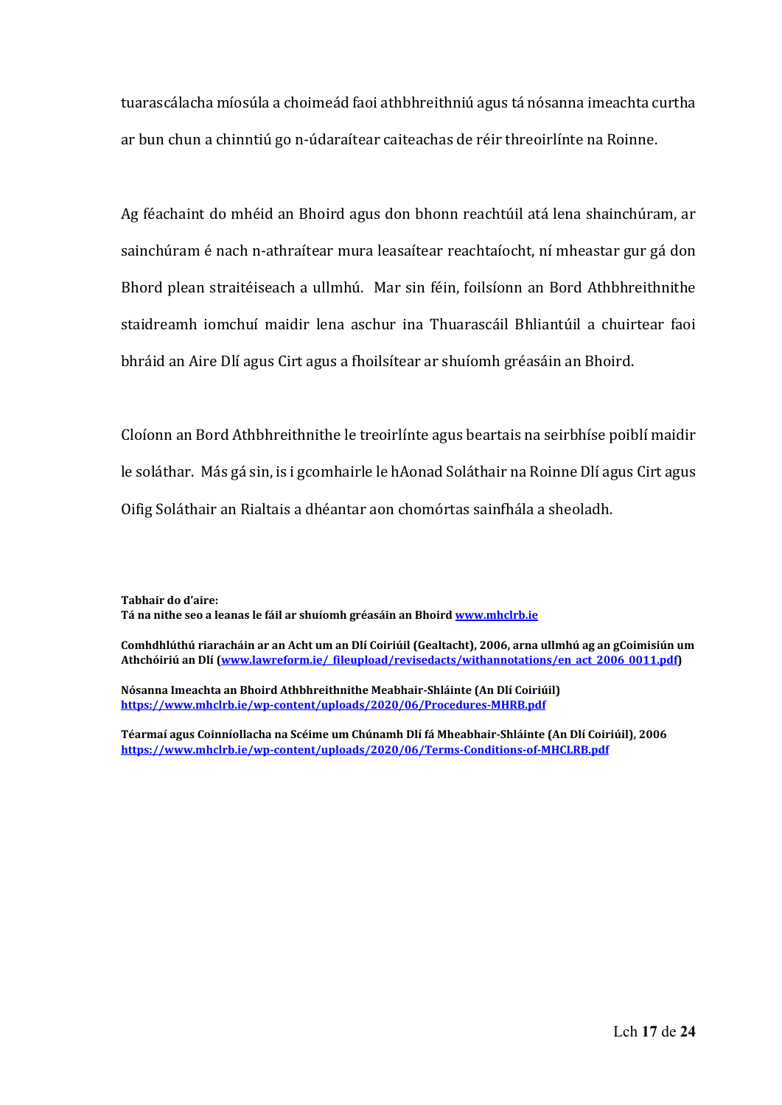tuarascálacha míosúla a choimeád faoi athbhreithniú agus tá nósanna imeachta curtha ar bun chun a chinntiú go n‐údaraítear caiteachas de réir threoirlínte na Roinne. 

Ag féachaint do mhéid an Bhoird agus don bhonn reachtúil atá lena shainchúram, ar sainchúram é nach n‐athraítear mura leasaítear reachtaíocht, ní mheastar gur gá don Bhord plean straitéiseach a ullmhú. Mar sin féin, foilsíonn an Bord Athbhreithnithe staidreamh iomchuí maidir lena aschur ina Thuarascáil Bhliantúil a chuirtear faoi bhráid an Aire Dlí agus Cirt agus a fhoilsítear ar shuíomh gréasáin an Bhoird. 

Cloíonn an Bord Athbhreithnithe le treoirlínte agus beartais na seirbhíse poiblí maidir le soláthar. Más gá sin, is i gcomhairle le hAonad Soláthair na Roinne Dlí agus Cirt agus Oifig Soláthair an Rialtais a dhéantar aon chomórtas sainfhála a sheoladh.

**Tabhair do d'aire: Tá na nithe seo a leanas le fáil ar shuíomh gréasáin an Bhoird www.mhclrb.ie** 

**Comhdhlúthú riaracháin ar an Acht um an Dlí Coiriúil (Gealtacht), 2006, arna ullmhú ag an gCoimisiún um Athchóiriú an Dlí (www.lawreform.ie/\_fileupload/revisedacts/withannotations/en\_act\_2006\_0011.pdf)** 

**Nósanna Imeachta an Bhoird Athbhreithnithe Meabhair‐Shláinte (An Dlí Coiriúil) https://www.mhclrb.ie/wp‐content/uploads/2020/06/Procedures‐MHRB.pdf**

**Téarmaí agus Coinníollacha na Scéime um Chúnamh Dlí fá Mheabhair‐Shláinte (An Dlí Coiriúil), 2006 https://www.mhclrb.ie/wp‐content/uploads/2020/06/Terms‐Conditions‐of‐MHCLRB.pdf**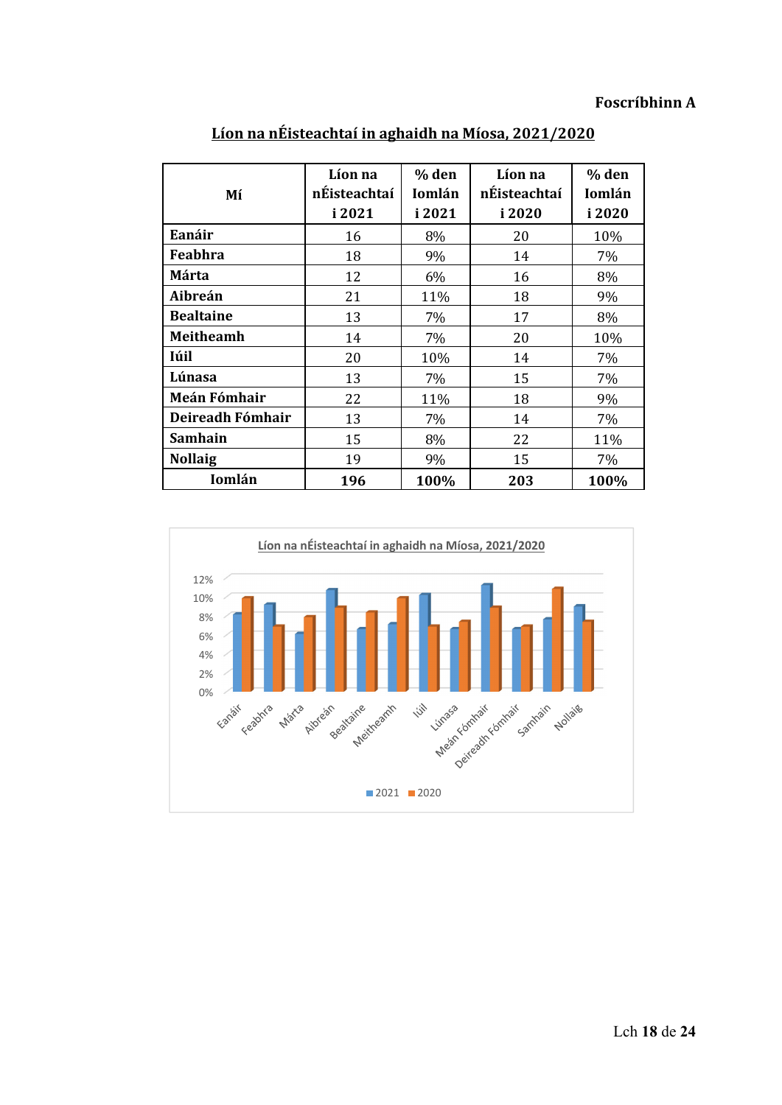## **Foscríbhinn A**

| Mí                  | Líon na<br>nÉisteachtaí<br>i 2021 | % den<br>Iomlán<br>i 2021 | Líon na<br>nÉisteachtaí<br>i 2020 | % den<br>Iomlán<br>i 2020 |
|---------------------|-----------------------------------|---------------------------|-----------------------------------|---------------------------|
| Eanáir              | 16                                | 8%                        | 20                                | 10%                       |
| Feabhra             | 18                                | 9%                        | 14                                | 7%                        |
| Márta               | 12                                | 6%                        | 16                                | 8%                        |
| Aibreán             | 21                                | 11%                       | 18                                | 9%                        |
| <b>Bealtaine</b>    | 13                                | 7%                        | 17                                | 8%                        |
| Meitheamh           | 14                                | 7%                        | 20                                | 10%                       |
| <b>Iúil</b>         | 20                                | 10%                       | 14                                | 7%                        |
| Lúnasa              | 13                                | 7%                        | 15                                | 7%                        |
| <b>Meán Fómhair</b> | 22                                | 11%                       | 18                                | 9%                        |
| Deireadh Fómhair    | 13                                | 7%                        | 14                                | 7%                        |
| <b>Samhain</b>      | 15                                | 8%                        | 22                                | 11%                       |
| <b>Nollaig</b>      | 19                                | 9%                        | 15                                | 7%                        |
| Iomlán              | 196                               | 100%                      | 203                               | 100%                      |

**Líon na nÉisteachtaí in aghaidh na Míosa, 2021/2020**

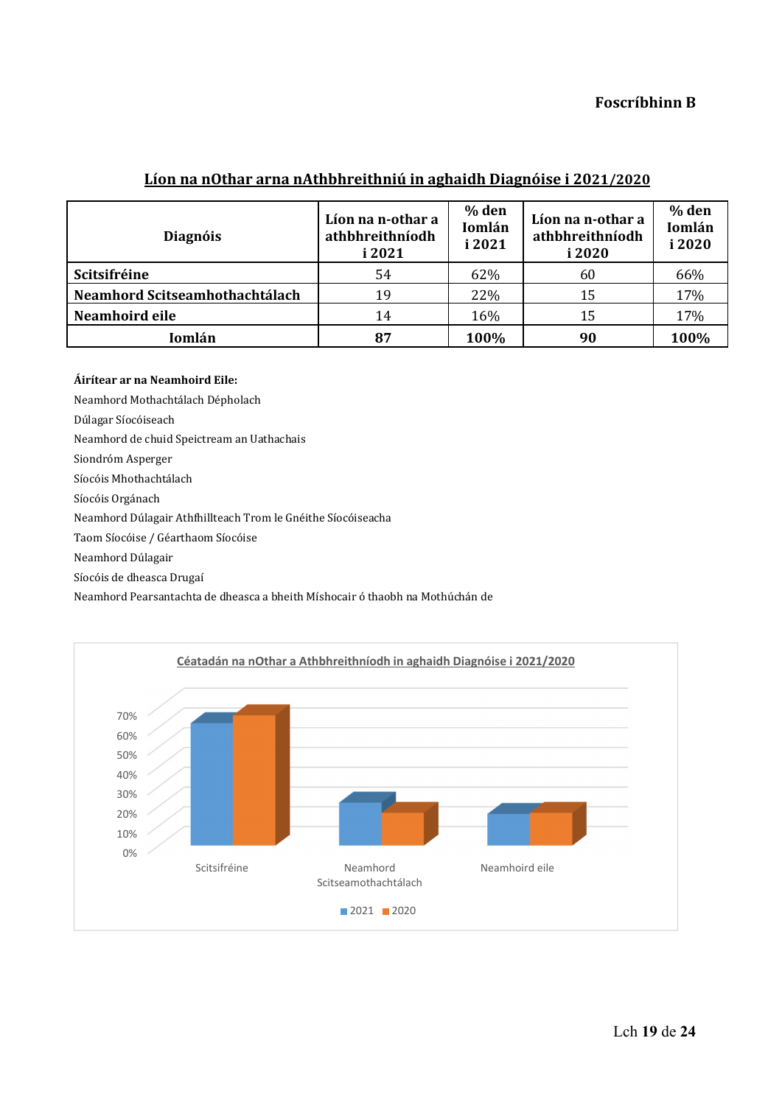## **Foscríbhinn B**

## **Líon na nOthar arna nAthbhreithniú in aghaidh Diagnóise i 2021/2020**

| <b>Diagnóis</b>                | Líon na n-othar a<br>athbhreithníodh<br>i 2021 | % den<br>Iomlán<br>i 2021 | Líon na n-othar a<br>athbhreithníodh<br>i 2020 | % den<br>Iomlán<br>i 2020 |
|--------------------------------|------------------------------------------------|---------------------------|------------------------------------------------|---------------------------|
| Scitsifréine                   | 54                                             | 62%                       | 60                                             | 66%                       |
| Neamhord Scitseamhothachtálach | 19                                             | 22%                       | 15                                             | 17%                       |
| Neamhoird eile                 | 14                                             | 16%                       | 15                                             | 17%                       |
| Iomlán                         | 87                                             | 100%                      | 90                                             | 100%                      |

#### **Áirítear ar na Neamhoird Eile:**

Neamhord Mothachtálach Dépholach 

Dúlagar Síocóiseach

Neamhord de chuid Speictream an Uathachais

Siondróm Asperger

Síocóis Mhothachtálach 

Síocóis Orgánach

Neamhord Dúlagair Athfhillteach Trom le Gnéithe Síocóiseacha

Taom Síocóise / Géarthaom Síocóise

Neamhord Dúlagair

Síocóis de dheasca Drugaí 

Neamhord Pearsantachta de dheasca a bheith Míshocair ó thaobh na Mothúchán de 

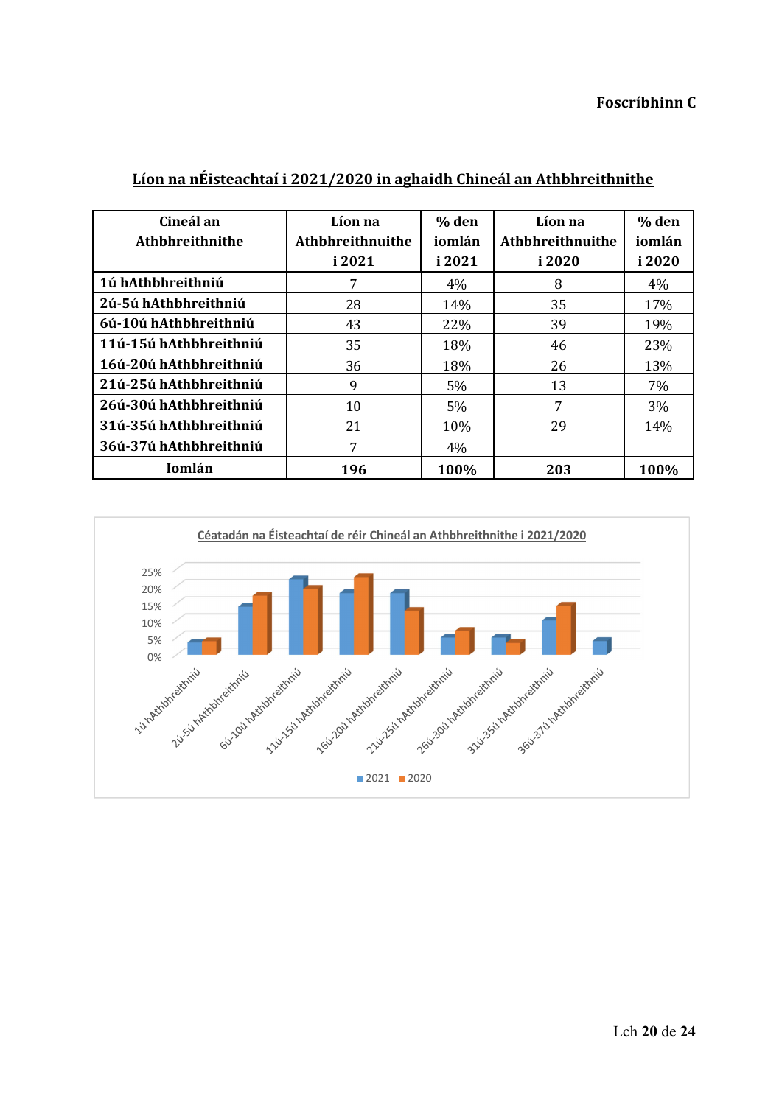| Cineál an<br>Athbhreithnithe | Líon na<br>Athbhreithnuithe<br>i 2021 | % den<br>iomlán<br>i 2021 | Líon na<br>Athbhreithnuithe<br>i 2020 | % den<br>iomlán<br>i 2020 |
|------------------------------|---------------------------------------|---------------------------|---------------------------------------|---------------------------|
| 1ú hAthbhreithniú            | 7                                     | 4%                        | 8                                     | $4\%$                     |
| 2ú-5ú hAthbhreithniú         | 28                                    | 14%                       | 35                                    | 17%                       |
| 6ú-10ú hAthbhreithniú        | 43                                    | 22\%                      | 39                                    | 19%                       |
| 11ú-15ú hAthbhreithniú       | 35                                    | 18%                       | 46                                    | 23%                       |
| 16ú-20ú hAthbhreithniú       | 36                                    | 18%                       | 26                                    | 13%                       |
| 21ú-25ú hAthbhreithniú       | 9                                     | 5%                        | 13                                    | 7%                        |
| 26ú-30ú hAthbhreithniú       | 10                                    | 5%                        | 7                                     | $3\%$                     |
| 31ú-35ú hAthbhreithniú       | 21                                    | 10%                       | 29                                    | 14%                       |
| 36ú-37ú hAthbhreithniú       | 7                                     | 4%                        |                                       |                           |
| Iomlán                       | 196                                   | 100%                      | 203                                   | 100%                      |

## **Líon na nÉisteachtaí i 2021/2020 in aghaidh Chineál an Athbhreithnithe**

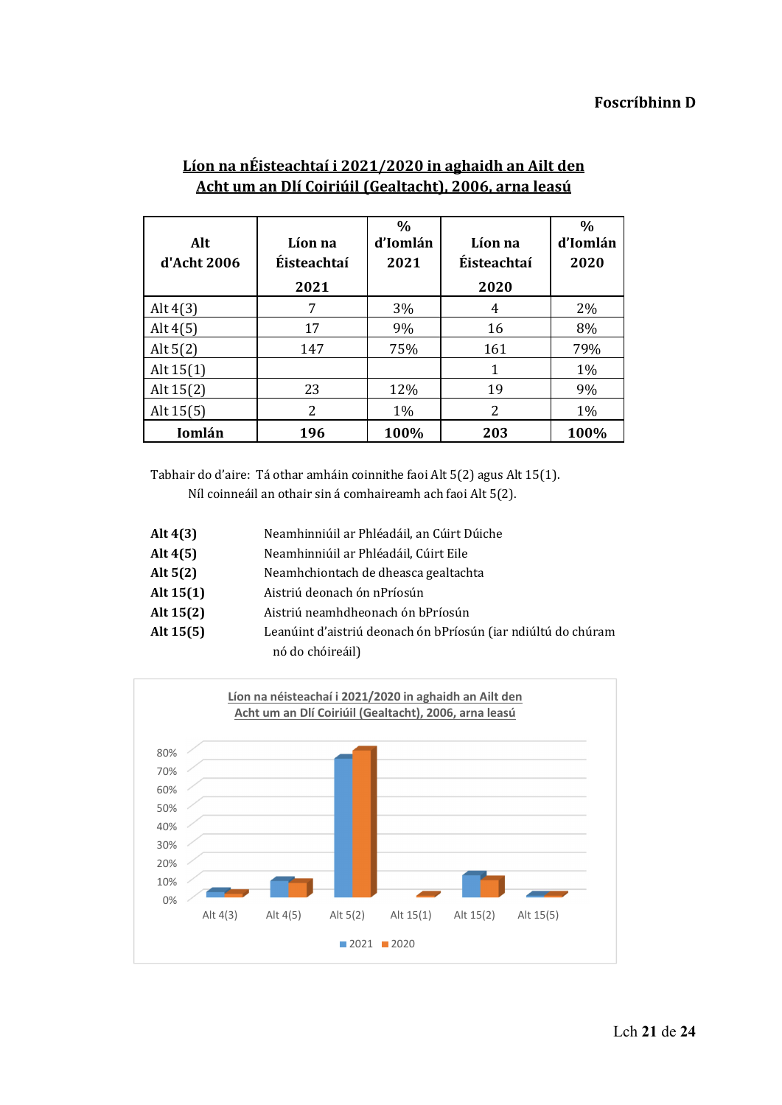| Alt<br>d'Acht 2006 | Líon na<br>Éisteachtaí<br>2021 | $\frac{0}{0}$<br>d'Iomlán<br>2021 | Líon na<br>Éisteachtaí<br>2020 | $\frac{0}{0}$<br>d'Iomlán<br>2020 |
|--------------------|--------------------------------|-----------------------------------|--------------------------------|-----------------------------------|
| Alt $4(3)$         |                                | 3%                                | 4                              | $2\%$                             |
| Alt $4(5)$         | 17                             | 9%                                | 16                             | 8%                                |
| Alt $5(2)$         | 147                            | 75%                               | 161                            | 79%                               |
| Alt $15(1)$        |                                |                                   | 1                              | $1\%$                             |
| Alt $15(2)$        | 23                             | 12%                               | 19                             | 9%                                |
| Alt $15(5)$        | 2                              | 1%                                | 2                              | 1%                                |
| Iomlán             | 196                            | 100%                              | 203                            | 100%                              |

# **Líon na nÉisteachtaí i 2021/2020 in aghaidh an Ailt den Acht um an Dlí Coiriúil (Gealtacht), 2006, arna leasú**

Tabhair do d'aire: Tá othar amháin coinnithe faoi Alt 5(2) agus Alt 15(1).

 Níl coinneáil an othair sin á comhaireamh ach faoi Alt 5(2).

| Alt $4(3)$  | Neamhinniúil ar Phléadáil, an Cúirt Dúiche                    |
|-------------|---------------------------------------------------------------|
| Alt $4(5)$  | Neamhinniúil ar Phléadáil, Cúirt Eile                         |
| Alt $5(2)$  | Neamhchiontach de dheasca gealtachta                          |
| Alt $15(1)$ | Aistriú deonach ón nPríosún                                   |
| Alt $15(2)$ | Aistriú neamhdheonach ón bPríosún                             |
| Alt $15(5)$ | Leanúint d'aistriú deonach ón bPríosún (iar ndiúltú do chúram |
|             | nó do chóireáil)                                              |

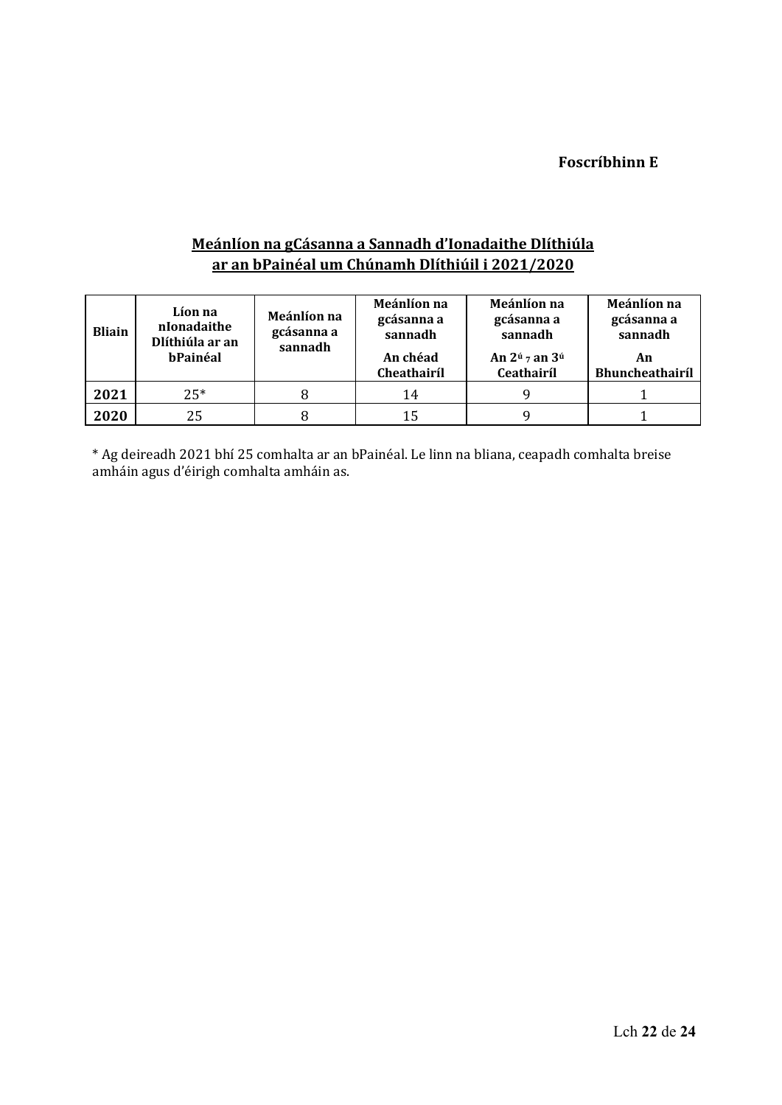# **Foscríbhinn E**

# **Meánlíon na gCásanna a Sannadh d'Ionadaithe Dlíthiúla ar an bPainéal um Chúnamh Dlíthiúil i 2021/2020**

| <b>Bliain</b> | Líon na<br>nIonadaithe<br>Dlíthiúla ar an<br>bPainéal | Meánlíon na<br>gcásanna a<br>sannadh | Meánlíon na<br>gcásanna a<br>sannadh<br>An chéad<br>Cheathairíl | Meánlíon na<br>gcásanna a<br>sannadh<br>An $2^{\dot{u}}$ 7 an $3^{\dot{u}}$<br>Ceathairíl | Meánlíon na<br>gcásanna a<br>sannadh<br>An<br><b>Bhuncheathairíl</b> |
|---------------|-------------------------------------------------------|--------------------------------------|-----------------------------------------------------------------|-------------------------------------------------------------------------------------------|----------------------------------------------------------------------|
| 2021          | $25*$                                                 | 8                                    | 14                                                              |                                                                                           |                                                                      |
| 2020          | 25                                                    |                                      |                                                                 |                                                                                           |                                                                      |

\* Ag deireadh 2021 bhí 25 comhalta ar an bPainéal. Le linn na bliana, ceapadh comhalta breise amháin agus d'éirigh comhalta amháin as.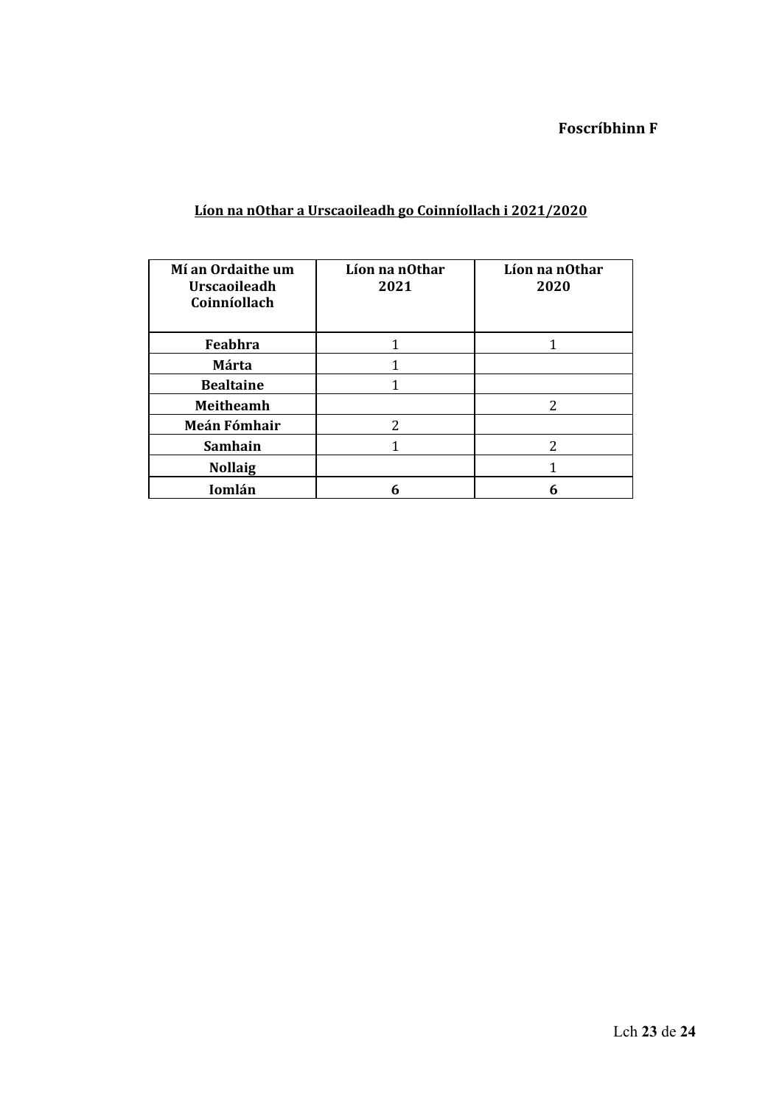|  | Líon na nOthar a Urscaoileadh go Coinníollach i 2021/2020 |  |
|--|-----------------------------------------------------------|--|
|  |                                                           |  |

| Mí an Ordaithe um<br><b>Urscaoileadh</b><br>Coinníollach | Líon na nOthar<br>2021 | Líon na nOthar<br>2020 |
|----------------------------------------------------------|------------------------|------------------------|
| Feabhra                                                  |                        |                        |
| <b>Márta</b>                                             |                        |                        |
| <b>Bealtaine</b>                                         |                        |                        |
| <b>Meitheamh</b>                                         |                        | っ                      |
| Meán Fómhair                                             | 2                      |                        |
| <b>Samhain</b>                                           |                        | 2                      |
| <b>Nollaig</b>                                           |                        |                        |
| Iomlán                                                   |                        | 6                      |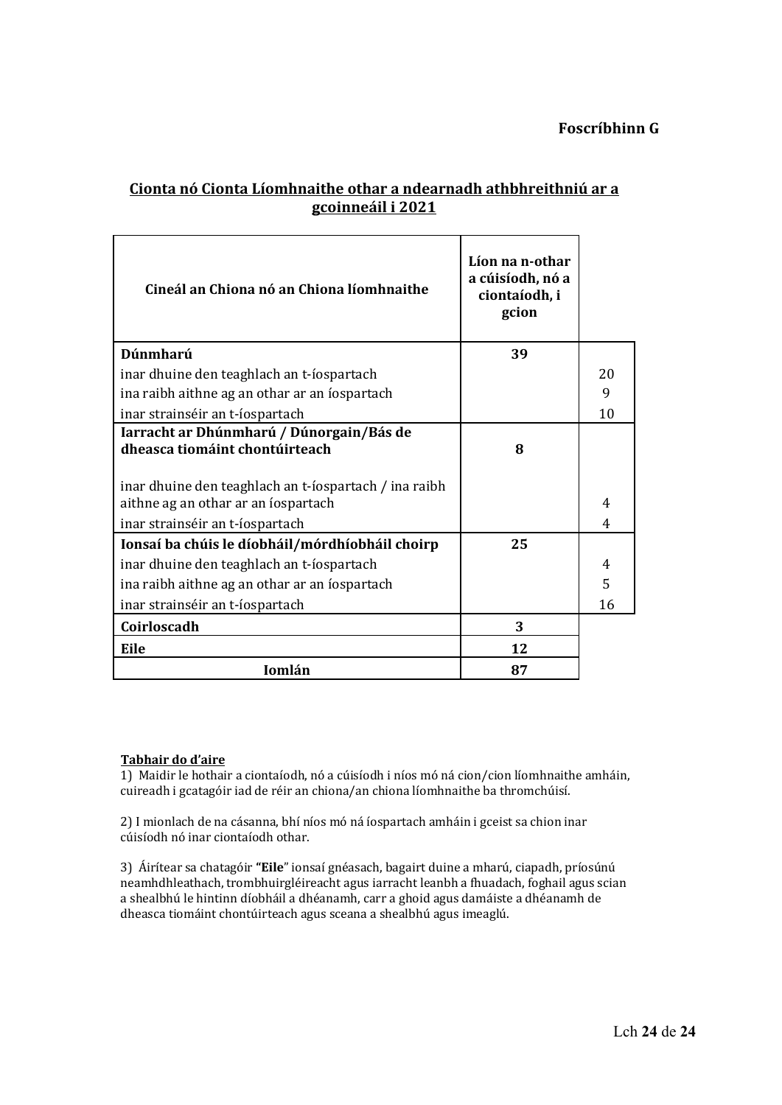## **Foscríbhinn G**

# **Cionta nó Cionta Líomhnaithe othar a ndearnadh athbhreithniú ar a gcoinneáil i 2021**

| Cineál an Chiona nó an Chiona líomhnaithe                                                    | Líon na n-othar<br>a cúisíodh, nó a<br>ciontaíodh, i<br>gcion |    |
|----------------------------------------------------------------------------------------------|---------------------------------------------------------------|----|
| Dúnmharú                                                                                     | 39                                                            |    |
| inar dhuine den teaghlach an t-íospartach                                                    |                                                               | 20 |
| ina raibh aithne ag an othar ar an íospartach                                                |                                                               | 9  |
| inar strainséir an t-íospartach                                                              |                                                               | 10 |
| Iarracht ar Dhúnmharú / Dúnorgain/Bás de<br>dheasca tiomáint chontúirteach                   | 8                                                             |    |
| inar dhuine den teaghlach an t-íospartach / ina raibh<br>aithne ag an othar ar an íospartach |                                                               | 4  |
| inar strainséir an t-íospartach                                                              |                                                               | 4  |
| Ionsaí ba chúis le díobháil/mórdhíobháil choirp                                              | 25                                                            |    |
| inar dhuine den teaghlach an t-íospartach                                                    |                                                               | 4  |
| ina raibh aithne ag an othar ar an íospartach                                                |                                                               | 5  |
| inar strainséir an t-íospartach                                                              |                                                               | 16 |
| Coirloscadh                                                                                  | 3                                                             |    |
| Eile                                                                                         | 12                                                            |    |
| Iomlán                                                                                       | 87                                                            |    |

#### **Tabhair do d'aire**

1) Maidir le hothair a ciontaíodh, nó a cúisíodh i níos mó ná cion/cion líomhnaithe amháin, cuireadh i gcatagóir iad de réir an chiona/an chiona líomhnaithe ba thromchúisí.

2) I mionlach de na cásanna, bhí níos mó ná íospartach amháin i gceist sa chion inar cúisíodh nó inar ciontaíodh othar.

3) Áirítear sa chatagóir "Eile" ionsaí gnéasach, bagairt duine a mharú, ciapadh, príosúnú neamhdhleathach, trombhuirgléireacht agus iarracht leanbh a fhuadach, foghail agus scian a shealbhú le hintinn díobháil a dhéanamh, carr a ghoid agus damáiste a dhéanamh de dheasca tiomáint chontúirteach agus sceana a shealbhú agus imeaglú.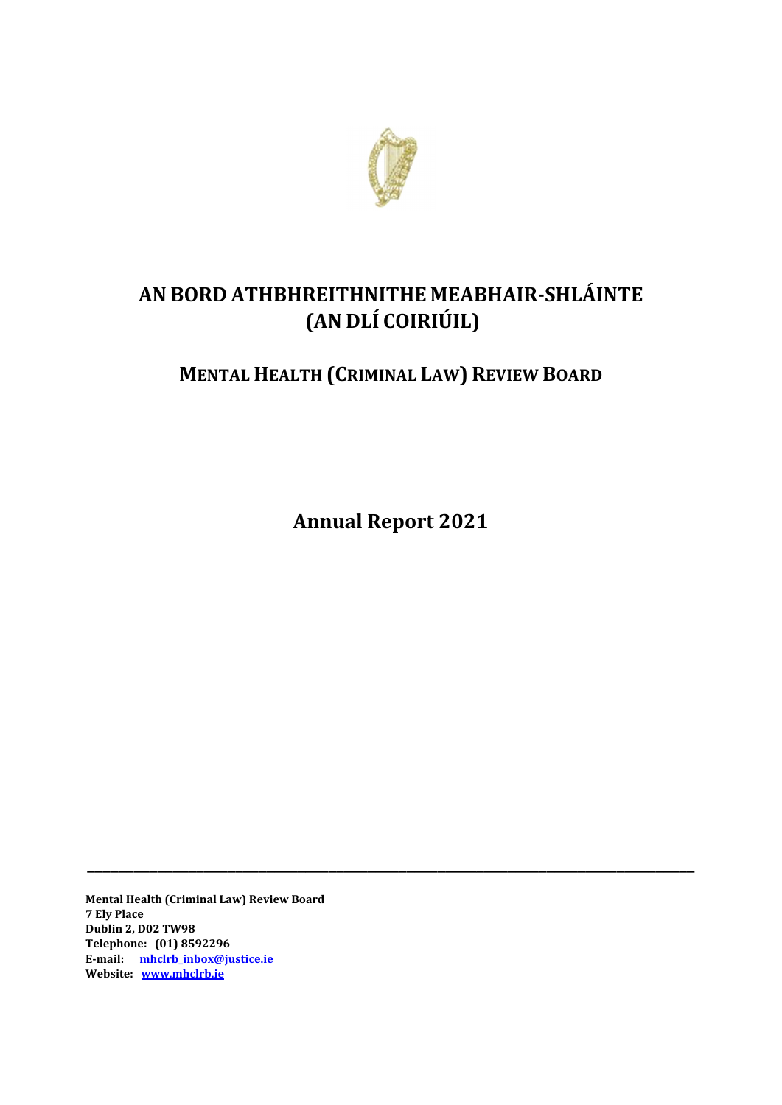

# **AN BORD ATHBHREITHNITHE MEABHAIR‐SHLÁINTE (AN DLÍ COIRIÚIL)**

# **MENTAL HEALTH (CRIMINAL LAW) REVIEW BOARD**

**Annual Report 2021**

**\_\_\_\_\_\_\_\_\_\_\_\_\_\_\_\_\_\_\_\_\_\_\_\_\_\_\_\_\_\_\_\_\_\_\_\_\_\_\_\_\_\_\_\_\_\_\_\_\_\_\_\_\_\_\_\_\_\_\_\_\_\_\_\_\_\_\_\_\_\_\_\_\_\_\_\_\_\_**

**Mental Health (Criminal Law) Review Board 7 Ely Place Dublin 2, D02 TW98 Telephone: (01) 8592296 E‐mail: mhclrb\_inbox@justice.ie Website: www.mhclrb.ie**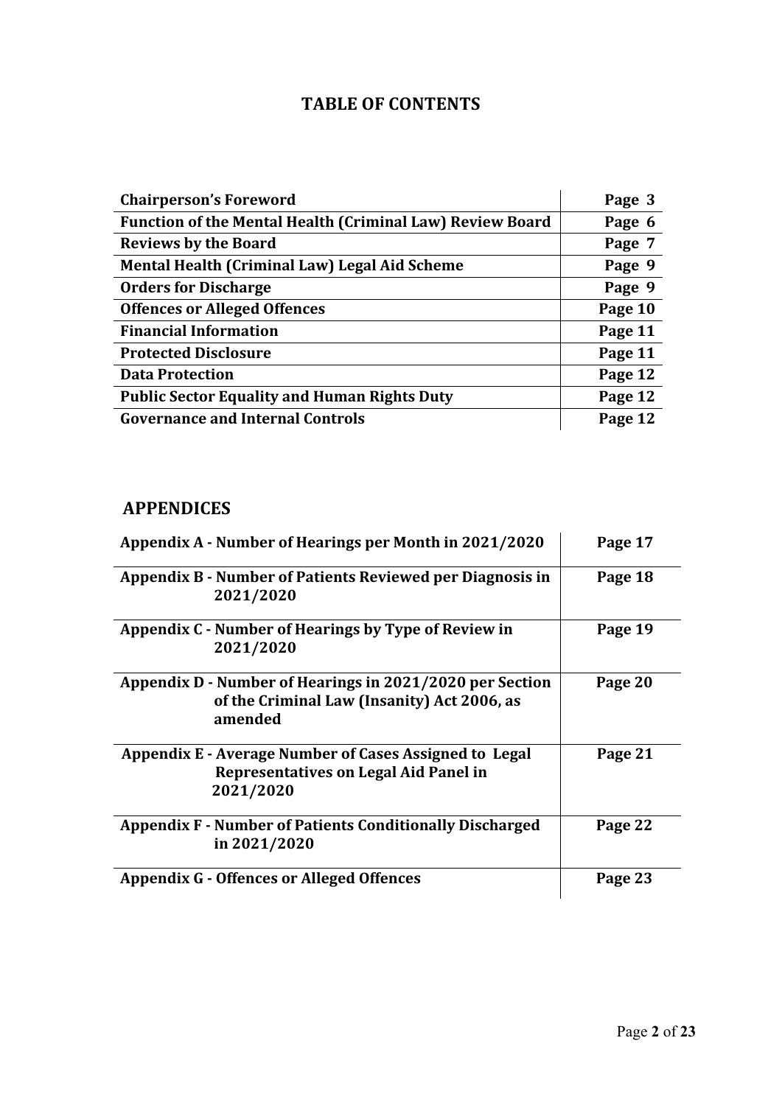# **TABLE OF CONTENTS**

| <b>Chairperson's Foreword</b>                                    | Page 3  |
|------------------------------------------------------------------|---------|
| <b>Function of the Mental Health (Criminal Law) Review Board</b> | Page 6  |
| <b>Reviews by the Board</b>                                      | Page 7  |
| Mental Health (Criminal Law) Legal Aid Scheme                    | Page 9  |
| <b>Orders for Discharge</b>                                      | Page 9  |
| <b>Offences or Alleged Offences</b>                              | Page 10 |
| <b>Financial Information</b>                                     | Page 11 |
| <b>Protected Disclosure</b>                                      | Page 11 |
| <b>Data Protection</b>                                           | Page 12 |
| <b>Public Sector Equality and Human Rights Duty</b>              | Page 12 |
| <b>Governance and Internal Controls</b>                          | Page 12 |

# **APPENDICES**

| Appendix A - Number of Hearings per Month in 2021/2020                                                             | Page 17 |
|--------------------------------------------------------------------------------------------------------------------|---------|
| Appendix B - Number of Patients Reviewed per Diagnosis in<br>2021/2020                                             | Page 18 |
| Appendix C - Number of Hearings by Type of Review in<br>2021/2020                                                  | Page 19 |
| Appendix D - Number of Hearings in 2021/2020 per Section<br>of the Criminal Law (Insanity) Act 2006, as<br>amended | Page 20 |
| Appendix E - Average Number of Cases Assigned to Legal<br>Representatives on Legal Aid Panel in<br>2021/2020       | Page 21 |
| <b>Appendix F - Number of Patients Conditionally Discharged</b><br>in 2021/2020                                    | Page 22 |
| <b>Appendix G - Offences or Alleged Offences</b>                                                                   | Page 23 |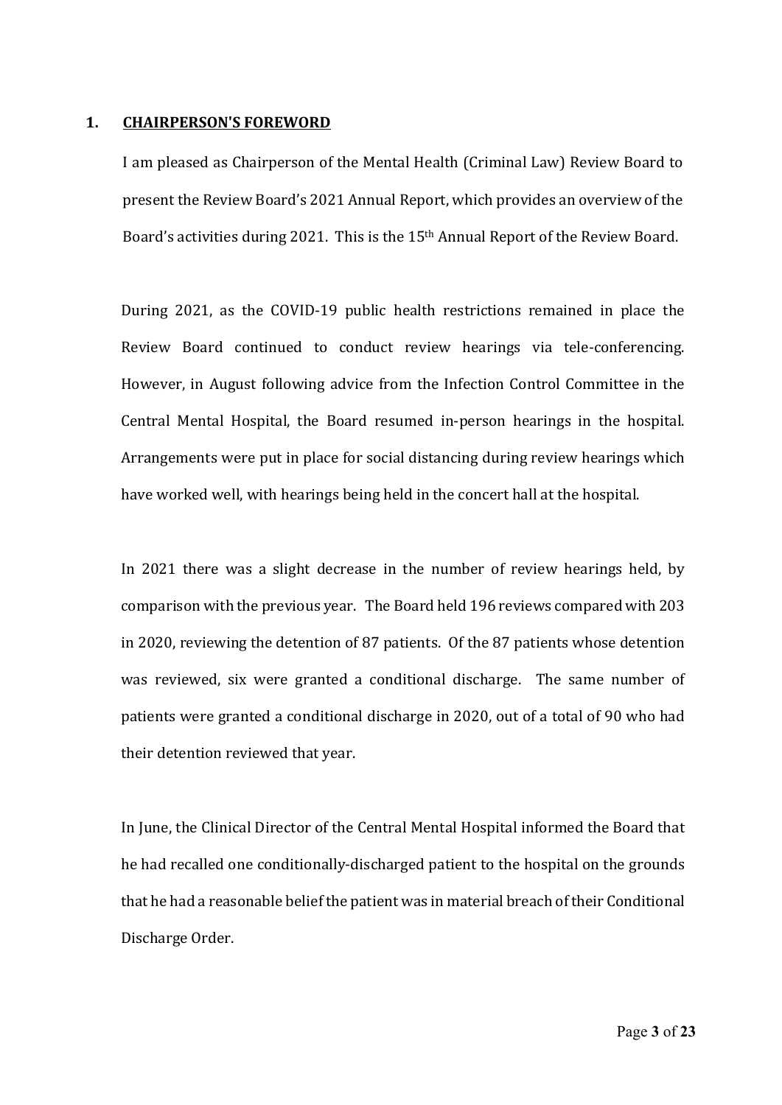#### **1. CHAIRPERSON'S FOREWORD**

I am pleased as Chairperson of the Mental Health (Criminal Law) Review Board to present the Review Board's 2021 Annual Report, which provides an overview of the Board's activities during 2021. This is the 15<sup>th</sup> Annual Report of the Review Board.

 During 2021, as the COVID‐19 public health restrictions remained in place the Review Board continued to conduct review hearings via tele-conferencing. However, in August following advice from the Infection Control Committee in the Central Mental Hospital, the Board resumed in‐person hearings in the hospital. Arrangements were put in place for social distancing during review hearings which have worked well, with hearings being held in the concert hall at the hospital. 

In 2021 there was a slight decrease in the number of review hearings held, by comparison with the previous year. The Board held 196 reviews compared with 203 in 2020, reviewing the detention of 87 patients. Of the 87 patients whose detention was reviewed, six were granted a conditional discharge. The same number of patients were granted a conditional discharge in 2020, out of a total of 90 who had their detention reviewed that year. 

In June, the Clinical Director of the Central Mental Hospital informed the Board that he had recalled one conditionally‐discharged patient to the hospital on the grounds that he had a reasonable belief the patient was in material breach of their Conditional Discharge Order.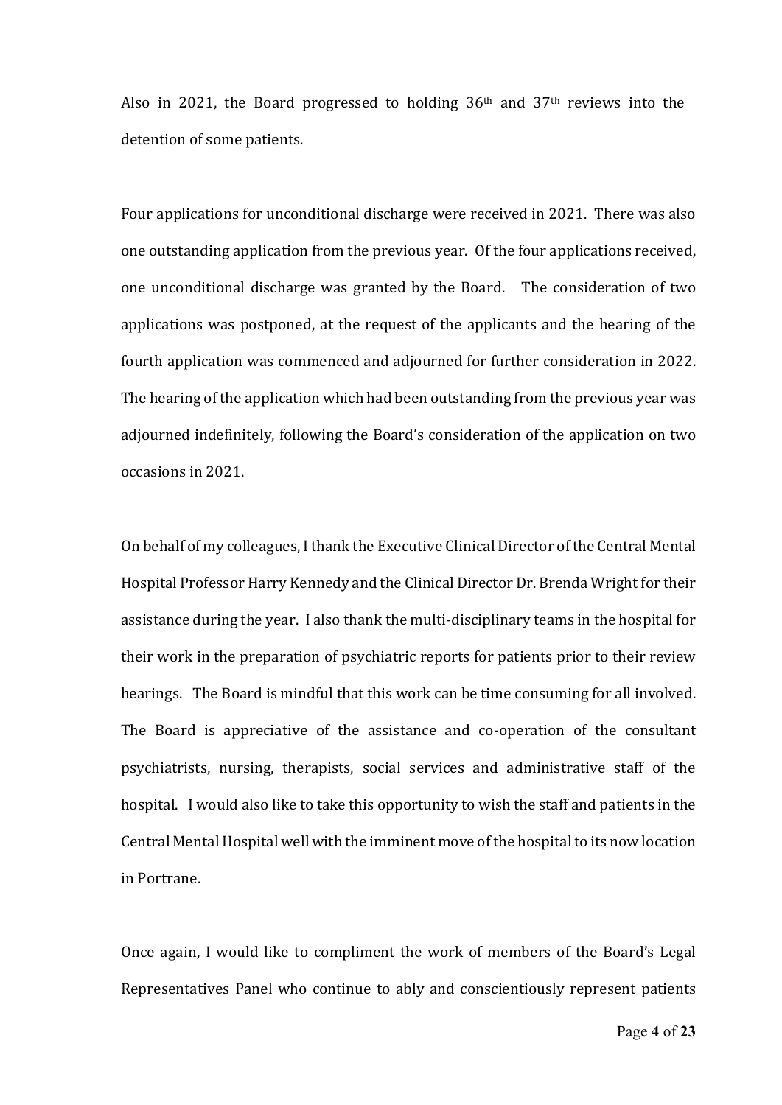Also in 2021, the Board progressed to holding  $36<sup>th</sup>$  and  $37<sup>th</sup>$  reviews into the detention of some patients.

Four applications for unconditional discharge were received in 2021. There was also one outstanding application from the previous year. Of the four applications received, one unconditional discharge was granted by the Board. The consideration of two applications was postponed, at the request of the applicants and the hearing of the fourth application was commenced and adjourned for further consideration in 2022. The hearing of the application which had been outstanding from the previous year was adjourned indefinitely, following the Board's consideration of the application on two occasions in 2021. 

 On behalf of my colleagues, I thank the Executive Clinical Director of the Central Mental Hospital Professor Harry Kennedy and the Clinical Director Dr. Brenda Wright for their assistance during the year. I also thank the multi‐disciplinary teams in the hospital for their work in the preparation of psychiatric reports for patients prior to their review hearings. The Board is mindful that this work can be time consuming for all involved. The Board is appreciative of the assistance and co-operation of the consultant psychiatrists, nursing, therapists, social services and administrative staff of the hospital. I would also like to take this opportunity to wish the staff and patients in the Central Mental Hospital well with the imminent move of the hospital to its now location in Portrane.

Once again, I would like to compliment the work of members of the Board's Legal Representatives Panel who continue to ably and conscientiously represent patients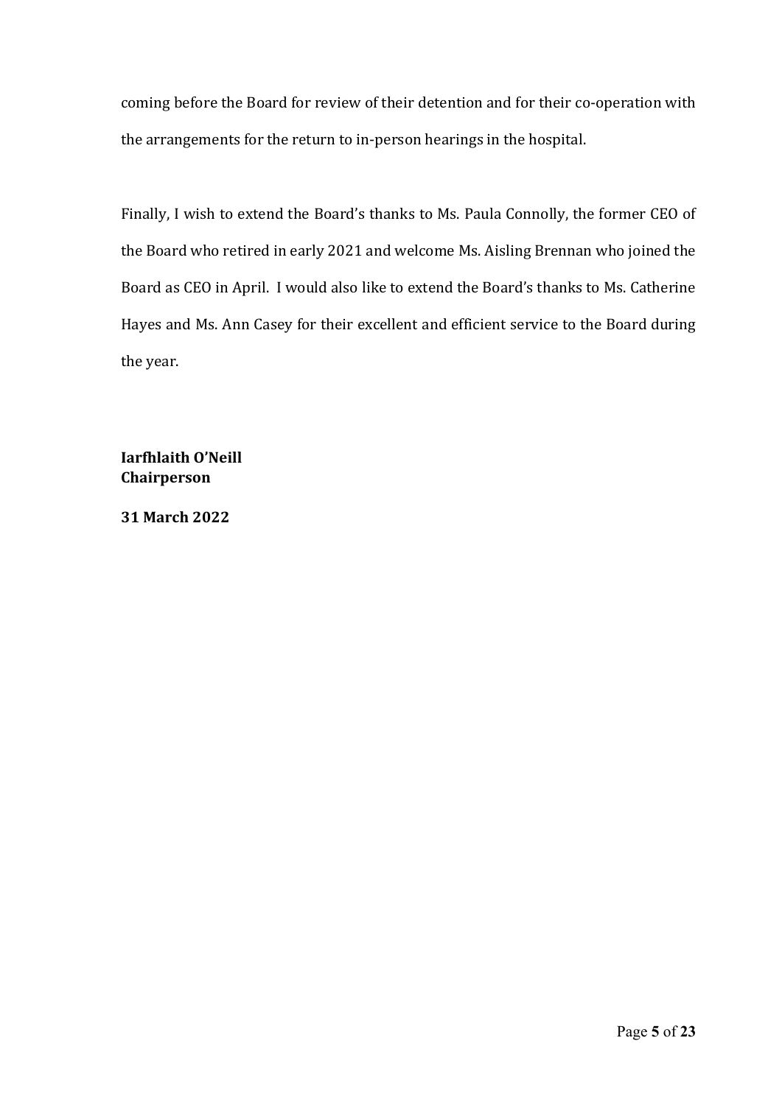coming before the Board for review of their detention and for their co-operation with the arrangements for the return to in‐person hearings in the hospital.

Finally, I wish to extend the Board's thanks to Ms. Paula Connolly, the former CEO of the Board who retired in early 2021 and welcome Ms. Aisling Brennan who joined the Board as CEO in April. I would also like to extend the Board's thanks to Ms. Catherine Hayes and Ms. Ann Casey for their excellent and efficient service to the Board during the year. 

**Iarfhlaith O'Neill Chairperson**

**31 March 2022**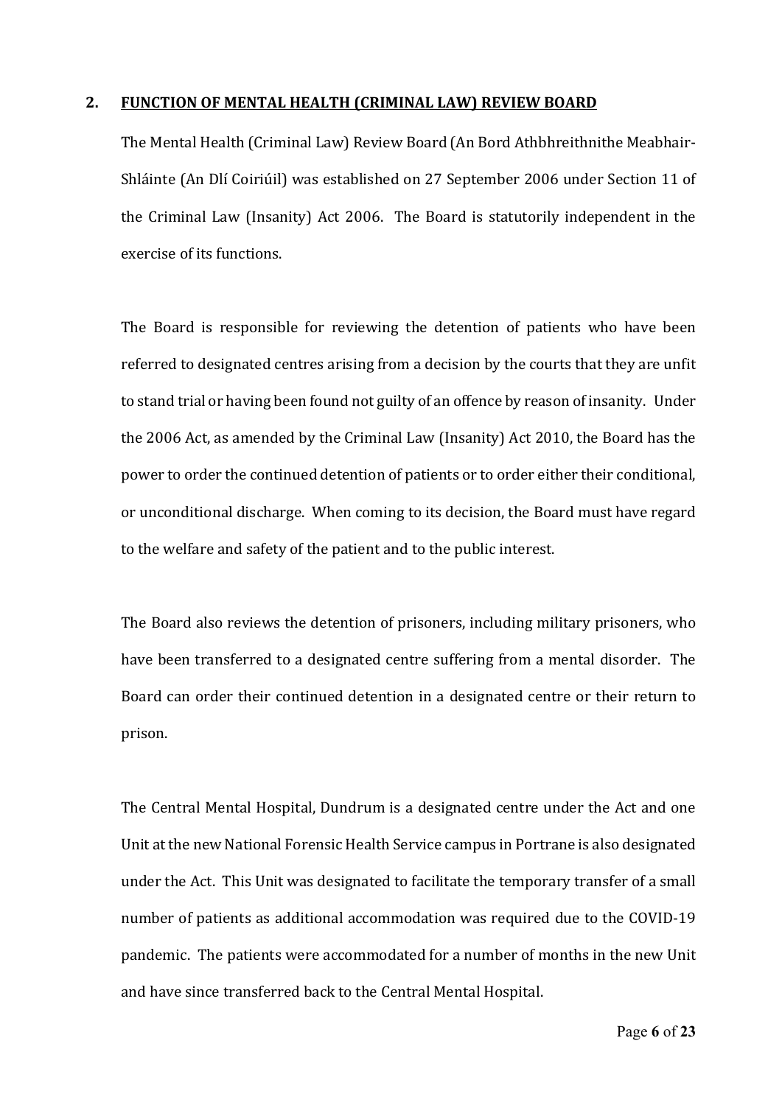#### **2. FUNCTION OF MENTAL HEALTH (CRIMINAL LAW) REVIEW BOARD**

The Mental Health (Criminal Law) Review Board (An Bord Athbhreithnithe Meabhair‐ Shláinte (An Dlí Coiriúil) was established on 27 September 2006 under Section 11 of the Criminal Law (Insanity) Act 2006. The Board is statutorily independent in the exercise of its functions.

The Board is responsible for reviewing the detention of patients who have been referred to designated centres arising from a decision by the courts that they are unfit to stand trial or having been found not guilty of an offence by reason of insanity. Under the 2006 Act, as amended by the Criminal Law (Insanity) Act 2010, the Board has the power to order the continued detention of patients or to order either their conditional, or unconditional discharge. When coming to its decision, the Board must have regard to the welfare and safety of the patient and to the public interest.

The Board also reviews the detention of prisoners, including military prisoners, who have been transferred to a designated centre suffering from a mental disorder. The Board can order their continued detention in a designated centre or their return to prison. 

The Central Mental Hospital, Dundrum is a designated centre under the Act and one Unit at the new National Forensic Health Service campus in Portrane is also designated under the Act. This Unit was designated to facilitate the temporary transfer of a small number of patients as additional accommodation was required due to the COVID‐19 pandemic. The patients were accommodated for a number of months in the new Unit and have since transferred back to the Central Mental Hospital.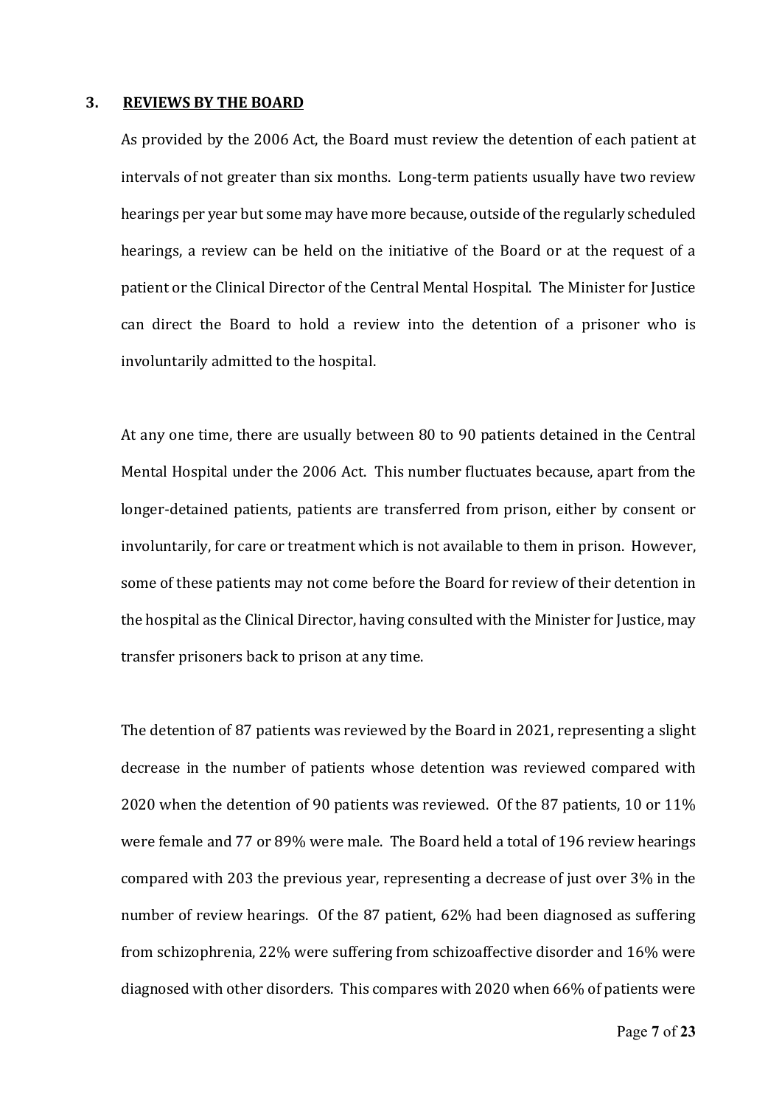#### **3. REVIEWS BY THE BOARD**

As provided by the 2006 Act, the Board must review the detention of each patient at intervals of not greater than six months. Long-term patients usually have two review hearings per year but some may have more because, outside of the regularly scheduled hearings, a review can be held on the initiative of the Board or at the request of a patient or the Clinical Director of the Central Mental Hospital. The Minister for Justice can direct the Board to hold a review into the detention of a prisoner who is involuntarily admitted to the hospital.

At any one time, there are usually between 80 to 90 patients detained in the Central Mental Hospital under the 2006 Act. This number fluctuates because, apart from the longer-detained patients, patients are transferred from prison, either by consent or involuntarily, for care or treatment which is not available to them in prison. However, some of these patients may not come before the Board for review of their detention in the hospital as the Clinical Director, having consulted with the Minister for Justice, may transfer prisoners back to prison at any time. 

The detention of 87 patients was reviewed by the Board in 2021, representing a slight decrease in the number of patients whose detention was reviewed compared with 2020 when the detention of 90 patients was reviewed. Of the 87 patients, 10 or 11% were female and 77 or 89% were male. The Board held a total of 196 review hearings compared with 203 the previous year, representing a decrease of just over 3% in the number of review hearings. Of the 87 patient, 62% had been diagnosed as suffering from schizophrenia, 22% were suffering from schizoaffective disorder and 16% were diagnosed with other disorders. This compares with 2020 when 66% of patients were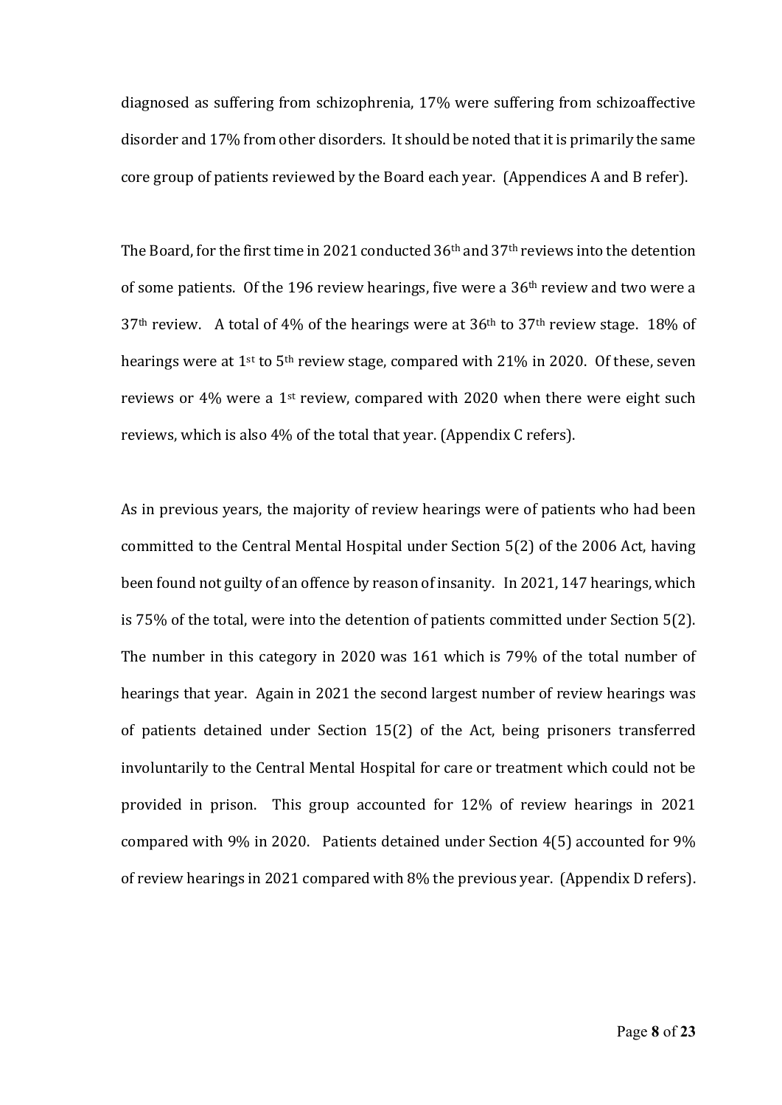diagnosed as suffering from schizophrenia, 17% were suffering from schizoaffective disorder and 17% from other disorders. It should be noted that it is primarily the same core group of patients reviewed by the Board each year. (Appendices A and B refer).

The Board, for the first time in 2021 conducted 36<sup>th</sup> and 37<sup>th</sup> reviews into the detention of some patients. Of the 196 review hearings, five were a  $36<sup>th</sup>$  review and two were a  $37<sup>th</sup>$  review. A total of 4% of the hearings were at  $36<sup>th</sup>$  to  $37<sup>th</sup>$  review stage. 18% of hearings were at  $1^{st}$  to  $5^{th}$  review stage, compared with 21% in 2020. Of these, seven reviews or 4% were a 1st review, compared with 2020 when there were eight such reviews, which is also 4% of the total that year. (Appendix C refers). 

As in previous years, the majority of review hearings were of patients who had been committed to the Central Mental Hospital under Section 5(2) of the 2006 Act, having been found not guilty of an offence by reason of insanity. In 2021, 147 hearings, which is 75% of the total, were into the detention of patients committed under Section 5(2). The number in this category in 2020 was 161 which is 79% of the total number of hearings that year. Again in 2021 the second largest number of review hearings was of patients detained under Section 15(2) of the Act, being prisoners transferred involuntarily to the Central Mental Hospital for care or treatment which could not be provided in prison. This group accounted for 12% of review hearings in 2021 compared with 9% in 2020. Patients detained under Section 4(5) accounted for 9% of review hearings in 2021 compared with 8% the previous year. (Appendix D refers).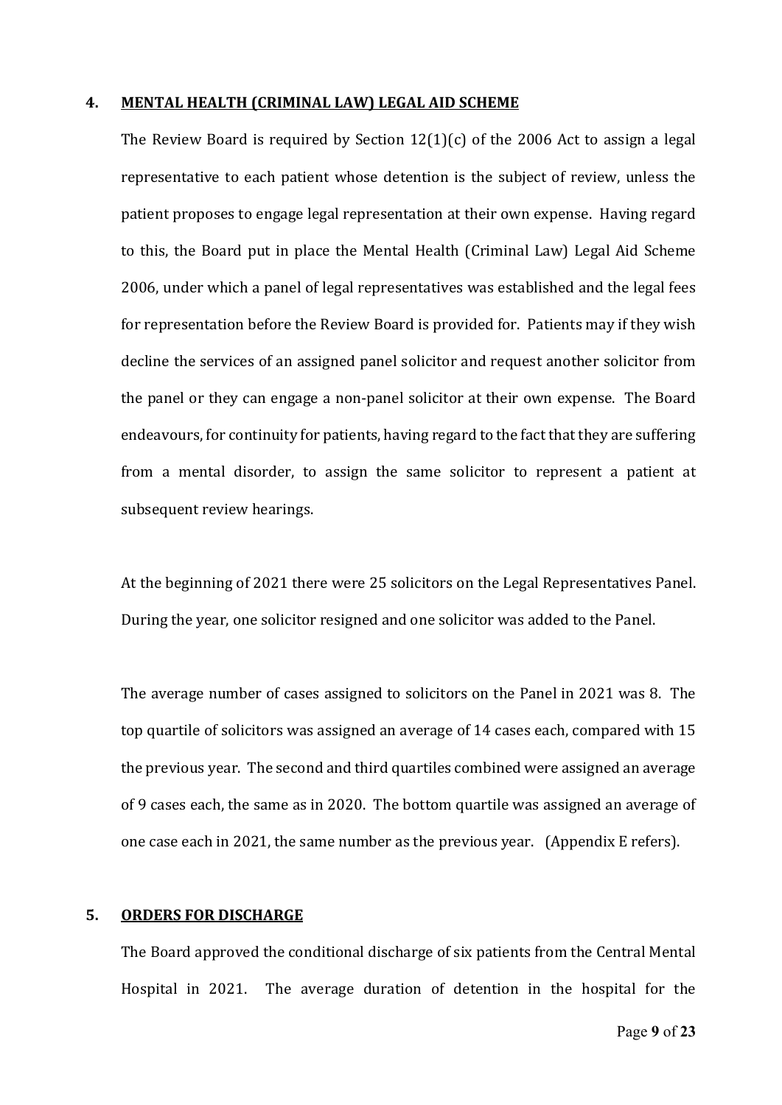#### **4. MENTAL HEALTH (CRIMINAL LAW) LEGAL AID SCHEME**

The Review Board is required by Section 12(1)(c) of the 2006 Act to assign a legal representative to each patient whose detention is the subject of review, unless the patient proposes to engage legal representation at their own expense. Having regard to this, the Board put in place the Mental Health (Criminal Law) Legal Aid Scheme 2006, under which a panel of legal representatives was established and the legal fees for representation before the Review Board is provided for. Patients may if they wish decline the services of an assigned panel solicitor and request another solicitor from the panel or they can engage a non‐panel solicitor at their own expense. The Board endeavours, for continuity for patients, having regard to the fact that they are suffering from a mental disorder, to assign the same solicitor to represent a patient at subsequent review hearings.

At the beginning of 2021 there were 25 solicitors on the Legal Representatives Panel. During the year, one solicitor resigned and one solicitor was added to the Panel. 

The average number of cases assigned to solicitors on the Panel in 2021 was 8. The top quartile of solicitors was assigned an average of 14 cases each, compared with 15 the previous year. The second and third quartiles combined were assigned an average of 9 cases each, the same as in 2020. The bottom quartile was assigned an average of one case each in 2021, the same number as the previous vear.  $\Delta$  (Appendix E refers).

#### **5. ORDERS FOR DISCHARGE**

The Board approved the conditional discharge of six patients from the Central Mental Hospital in 2021. The average duration of detention in the hospital for the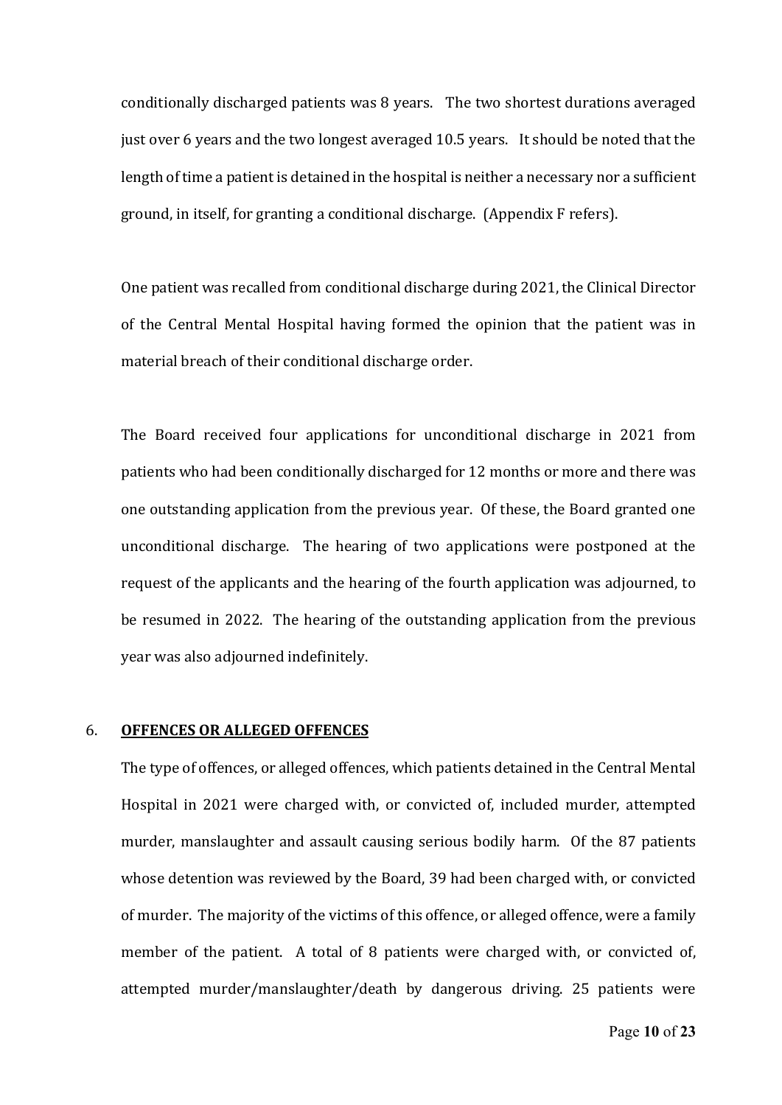conditionally discharged patients was 8 years. The two shortest durations averaged just over 6 years and the two longest averaged 10.5 years. It should be noted that the length of time a patient is detained in the hospital is neither a necessary nor a sufficient ground, in itself, for granting a conditional discharge. (Appendix F refers).

One patient was recalled from conditional discharge during 2021, the Clinical Director of the Central Mental Hospital having formed the opinion that the patient was in material breach of their conditional discharge order. 

The Board received four applications for unconditional discharge in 2021 from patients who had been conditionally discharged for 12 months or more and there was one outstanding application from the previous year. Of these, the Board granted one unconditional discharge. The hearing of two applications were postponed at the request of the applicants and the hearing of the fourth application was adjourned, to be resumed in 2022. The hearing of the outstanding application from the previous year was also adjourned indefinitely. 

#### 6. **OFFENCES OR ALLEGED OFFENCES**

The type of offences, or alleged offences, which patients detained in the Central Mental Hospital in 2021 were charged with, or convicted of, included murder, attempted murder, manslaughter and assault causing serious bodily harm. Of the 87 patients whose detention was reviewed by the Board, 39 had been charged with, or convicted of murder. The majority of the victims of this offence, or alleged offence, were a family member of the patient. A total of 8 patients were charged with, or convicted of, attempted murder/manslaughter/death by dangerous driving. 25 patients were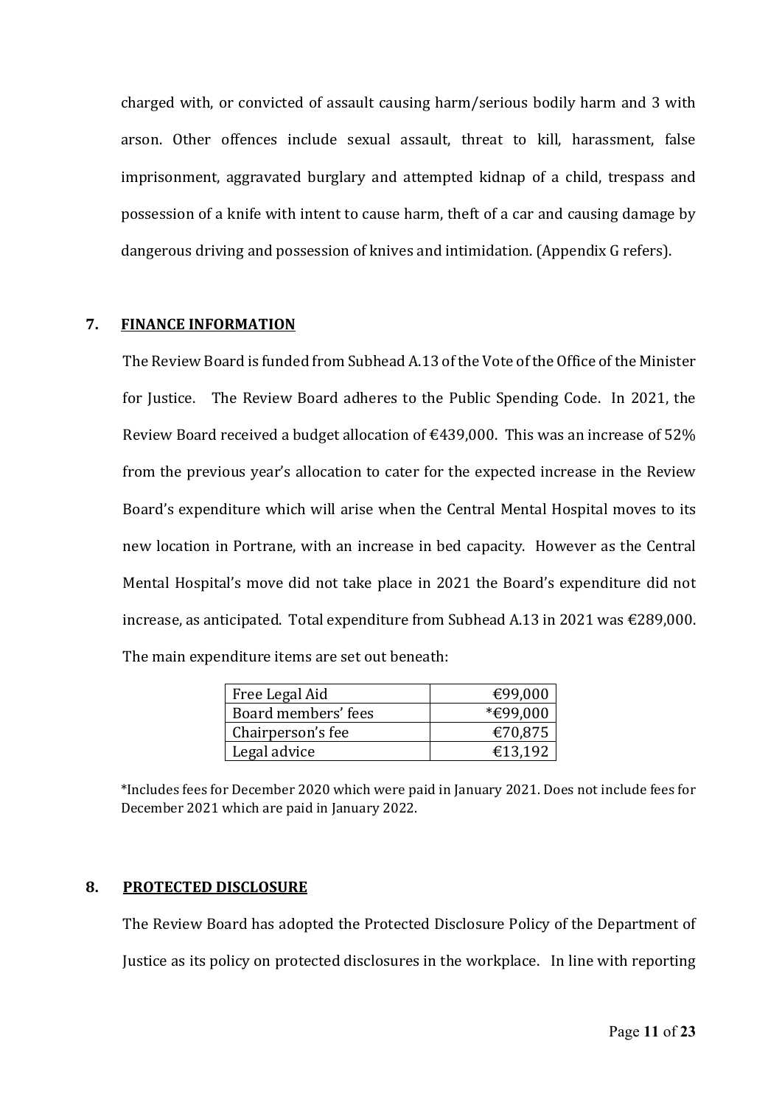charged with, or convicted of assault causing harm/serious bodily harm and 3 with arson. Other offences include sexual assault, threat to kill, harassment, false imprisonment, aggravated burglary and attempted kidnap of a child, trespass and possession of a knife with intent to cause harm, theft of a car and causing damage by dangerous driving and possession of knives and intimidation. (Appendix G refers). 

#### **7. FINANCE INFORMATION**

The Review Board is funded from Subhead A.13 of the Vote of the Office of the Minister for Justice. The Review Board adheres to the Public Spending Code. In 2021, the Review Board received a budget allocation of  $\epsilon$ 439,000. This was an increase of 52% from the previous year's allocation to cater for the expected increase in the Review Board's expenditure which will arise when the Central Mental Hospital moves to its new location in Portrane, with an increase in bed capacity. However as the Central Mental Hospital's move did not take place in 2021 the Board's expenditure did not increase, as anticipated. Total expenditure from Subhead A.13 in 2021 was €289,000. The main expenditure items are set out beneath:

| Free Legal Aid      | €99,000  |
|---------------------|----------|
| Board members' fees | *€99,000 |
| Chairperson's fee   | €70,875  |
| Legal advice        | €13,192  |

\*Includes fees for December 2020 which were paid in January 2021. Does not include fees for December 2021 which are paid in January 2022.

## **8. PROTECTED DISCLOSURE**

The Review Board has adopted the Protected Disclosure Policy of the Department of Justice as its policy on protected disclosures in the workplace. In line with reporting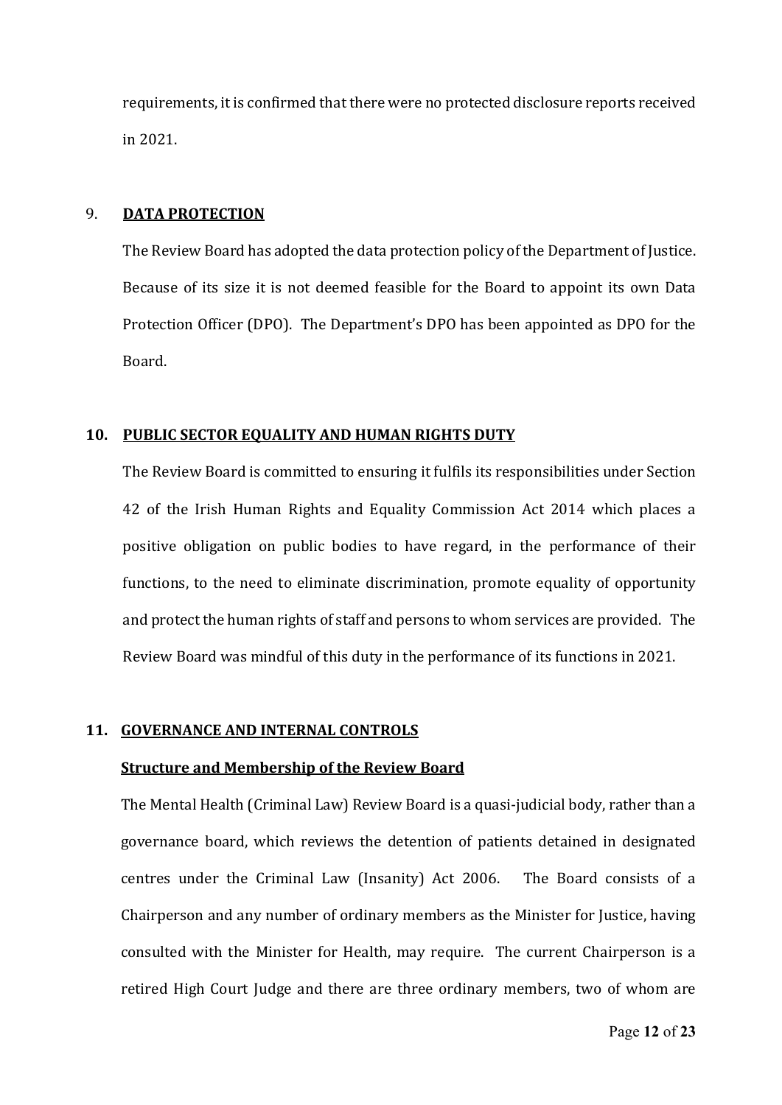requirements, it is confirmed that there were no protected disclosure reports received in 2021.

#### 9. **DATA PROTECTION**

The Review Board has adopted the data protection policy of the Department of Justice. Because of its size it is not deemed feasible for the Board to appoint its own Data Protection Officer (DPO). The Department's DPO has been appointed as DPO for the Board. 

#### **10. PUBLIC SECTOR EQUALITY AND HUMAN RIGHTS DUTY**

The Review Board is committed to ensuring it fulfils its responsibilities under Section 42 of the Irish Human Rights and Equality Commission Act 2014 which places a positive obligation on public bodies to have regard, in the performance of their functions, to the need to eliminate discrimination, promote equality of opportunity and protect the human rights of staff and persons to whom services are provided. The Review Board was mindful of this duty in the performance of its functions in 2021. 

## **11. GOVERNANCE AND INTERNAL CONTROLS**

#### **Structure and Membership of the Review Board**

The Mental Health (Criminal Law) Review Board is a quasi‐judicial body, rather than a governance board, which reviews the detention of patients detained in designated centres under the Criminal Law (Insanity) Act 2006. The Board consists of a Chairperson and any number of ordinary members as the Minister for Justice, having consulted with the Minister for Health, may require. The current Chairperson is a retired High Court Judge and there are three ordinary members, two of whom are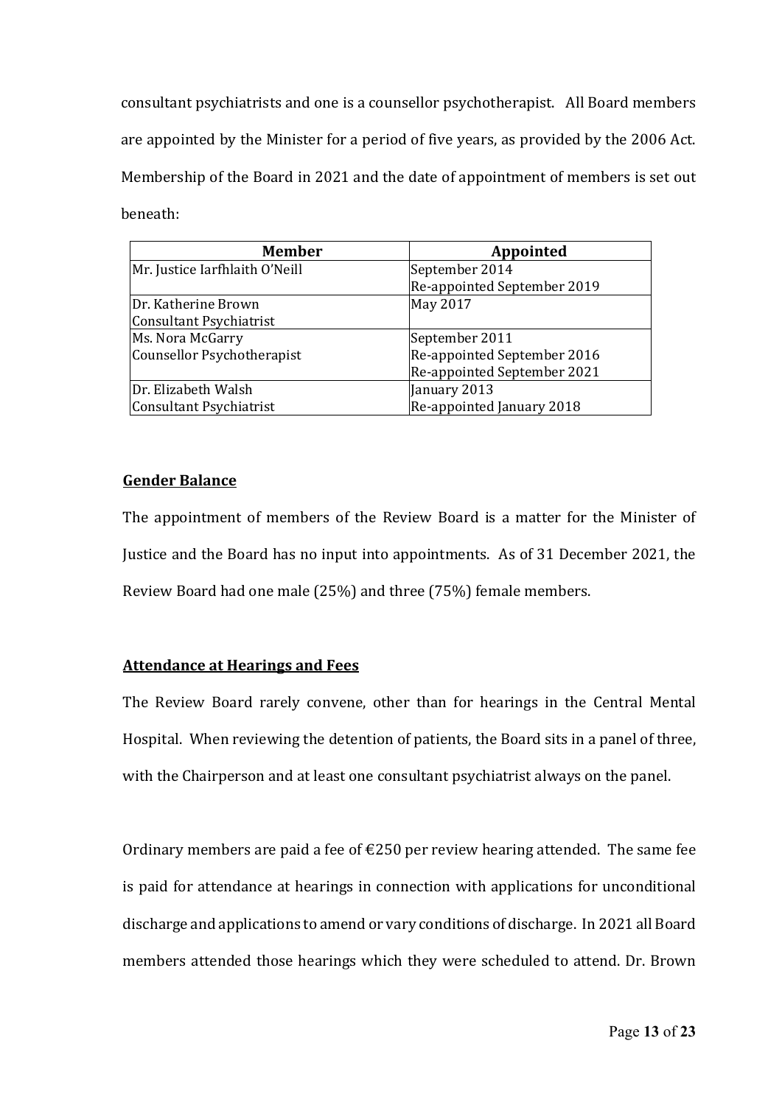consultant psychiatrists and one is a counsellor psychotherapist. All Board members are appointed by the Minister for a period of five years, as provided by the 2006 Act. Membership of the Board in 2021 and the date of appointment of members is set out beneath:

| <b>Member</b>                  | Appointed                   |
|--------------------------------|-----------------------------|
| Mr. Justice Iarfhlaith O'Neill | September 2014              |
|                                | Re-appointed September 2019 |
| Dr. Katherine Brown            | May 2017                    |
| Consultant Psychiatrist        |                             |
| Ms. Nora McGarry               | September 2011              |
| Counsellor Psychotherapist     | Re-appointed September 2016 |
|                                | Re-appointed September 2021 |
| Dr. Elizabeth Walsh            | January 2013                |
| Consultant Psychiatrist        | Re-appointed January 2018   |

### **Gender Balance**

The appointment of members of the Review Board is a matter for the Minister of Justice and the Board has no input into appointments. As of 31 December 2021, the Review Board had one male (25%) and three (75%) female members.

## **Attendance at Hearings and Fees**

The Review Board rarely convene, other than for hearings in the Central Mental Hospital. When reviewing the detention of patients, the Board sits in a panel of three, with the Chairperson and at least one consultant psychiatrist always on the panel.

Ordinary members are paid a fee of  $\epsilon$ 250 per review hearing attended. The same fee is paid for attendance at hearings in connection with applications for unconditional discharge and applications to amend or vary conditions of discharge. In 2021 all Board members attended those hearings which they were scheduled to attend. Dr. Brown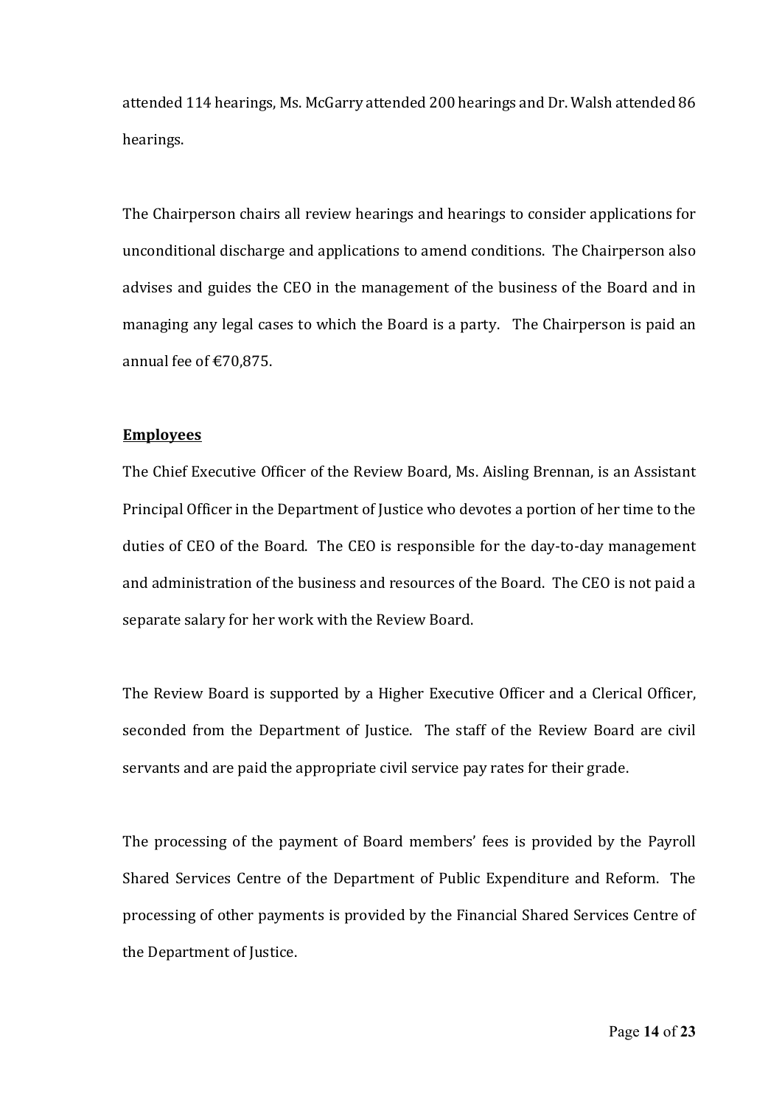attended 114 hearings, Ms. McGarry attended 200 hearings and Dr. Walsh attended 86 hearings. 

The Chairperson chairs all review hearings and hearings to consider applications for unconditional discharge and applications to amend conditions. The Chairperson also advises and guides the CEO in the management of the business of the Board and in managing any legal cases to which the Board is a party. The Chairperson is paid an annual fee of €70,875.

#### **Employees**

The Chief Executive Officer of the Review Board, Ms. Aisling Brennan, is an Assistant Principal Officer in the Department of Justice who devotes a portion of her time to the duties of CEO of the Board. The CEO is responsible for the day-to-day management and administration of the business and resources of the Board. The CEO is not paid a separate salary for her work with the Review Board.

The Review Board is supported by a Higher Executive Officer and a Clerical Officer, seconded from the Department of Justice. The staff of the Review Board are civil servants and are paid the appropriate civil service pay rates for their grade. 

The processing of the payment of Board members' fees is provided by the Payroll Shared Services Centre of the Department of Public Expenditure and Reform. The processing of other payments is provided by the Financial Shared Services Centre of the Department of Justice.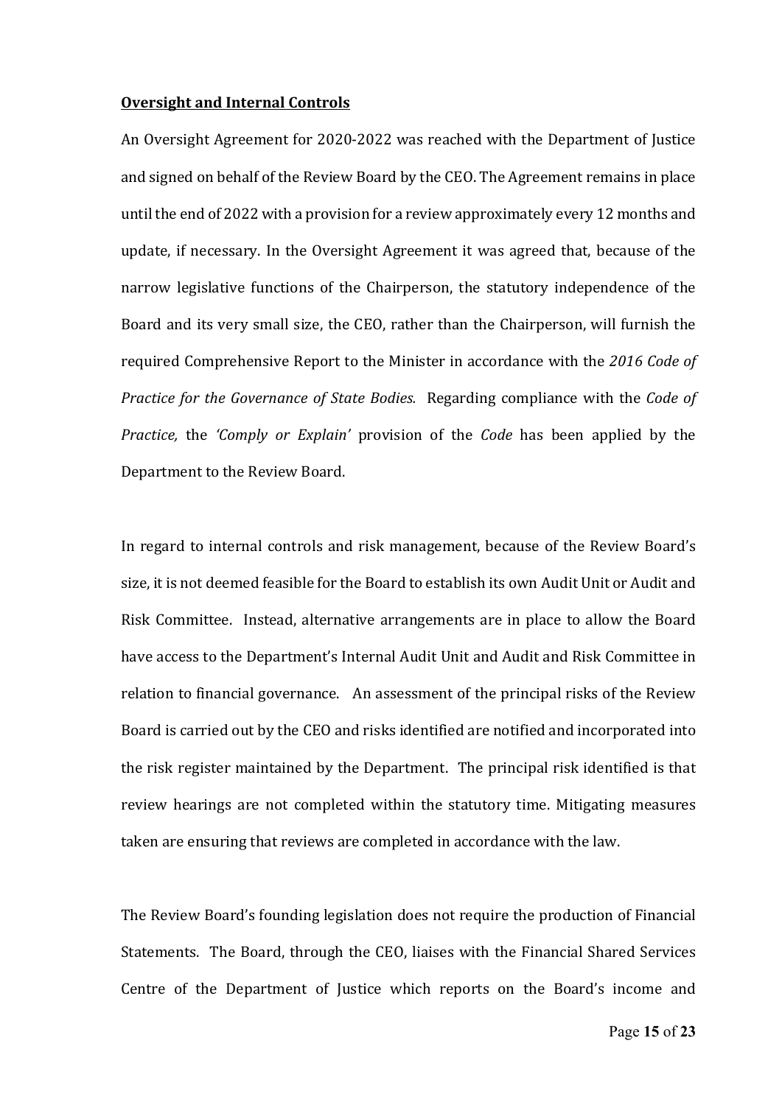#### **Oversight and Internal Controls**

An Oversight Agreement for 2020‐2022 was reached with the Department of Justice and signed on behalf of the Review Board by the CEO. The Agreement remains in place until the end of 2022 with a provision for a review approximately every 12 months and update, if necessary. In the Oversight Agreement it was agreed that, because of the narrow legislative functions of the Chairperson, the statutory independence of the Board and its very small size, the CEO, rather than the Chairperson, will furnish the required Comprehensive Report to the Minister in accordance with the *2016 Code of Practice for the Governance of State Bodies.* Regarding compliance with the *Code of Practice,* the *'Comply or Explain'* provision of the *Code* has been applied by the Department to the Review Board. 

In regard to internal controls and risk management, because of the Review Board's size, it is not deemed feasible for the Board to establish its own Audit Unit or Audit and Risk Committee. Instead, alternative arrangements are in place to allow the Board have access to the Department's Internal Audit Unit and Audit and Risk Committee in relation to financial governance. An assessment of the principal risks of the Review Board is carried out by the CEO and risks identified are notified and incorporated into the risk register maintained by the Department. The principal risk identified is that review hearings are not completed within the statutory time. Mitigating measures taken are ensuring that reviews are completed in accordance with the law.

The Review Board's founding legislation does not require the production of Financial Statements. The Board, through the CEO, liaises with the Financial Shared Services Centre of the Department of Justice which reports on the Board's income and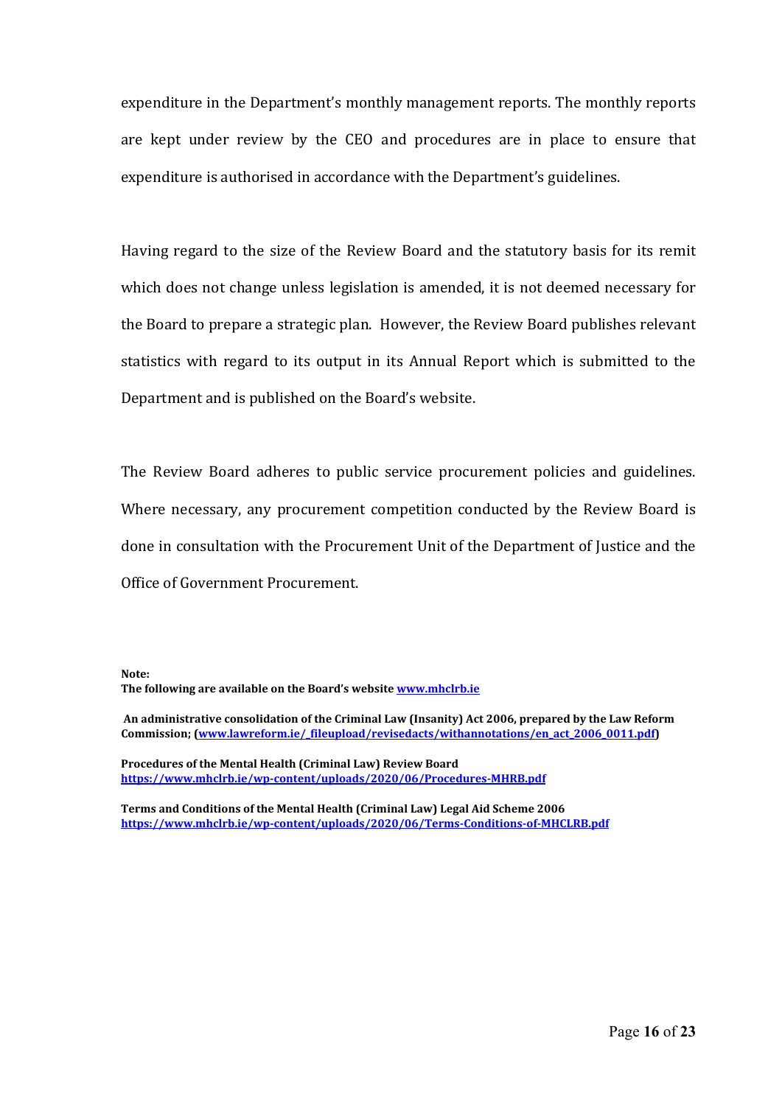expenditure in the Department's monthly management reports. The monthly reports are kept under review by the CEO and procedures are in place to ensure that expenditure is authorised in accordance with the Department's guidelines. 

Having regard to the size of the Review Board and the statutory basis for its remit which does not change unless legislation is amended, it is not deemed necessary for the Board to prepare a strategic plan. However, the Review Board publishes relevant statistics with regard to its output in its Annual Report which is submitted to the Department and is published on the Board's website. 

The Review Board adheres to public service procurement policies and guidelines. Where necessary, any procurement competition conducted by the Review Board is done in consultation with the Procurement Unit of the Department of Justice and the Office of Government Procurement.

**Note: The following are available on the Board's website www.mhclrb.ie** 

**An administrative consolidation of the Criminal Law (Insanity) Act 2006, prepared by the Law Reform Commission; (www.lawreform.ie/\_fileupload/revisedacts/withannotations/en\_act\_2006\_0011.pdf)** 

**Procedures of the Mental Health (Criminal Law) Review Board https://www.mhclrb.ie/wp‐content/uploads/2020/06/Procedures‐MHRB.pdf**

**Terms and Conditions of the Mental Health (Criminal Law) Legal Aid Scheme 2006 https://www.mhclrb.ie/wp‐content/uploads/2020/06/Terms‐Conditions‐of‐MHCLRB.pdf**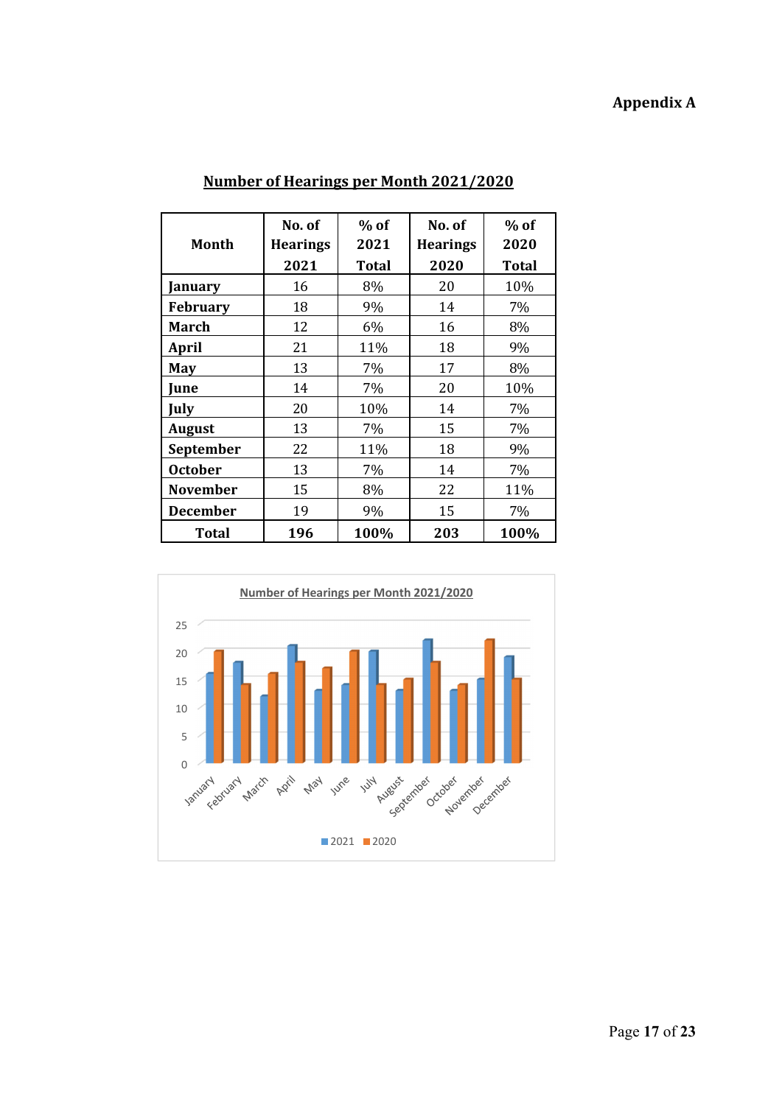# **Appendix A**

|                 | No. of          | $%$ of | No. of          | $%$ of |
|-----------------|-----------------|--------|-----------------|--------|
| Month           | <b>Hearings</b> | 2021   | <b>Hearings</b> | 2020   |
|                 | 2021            | Total  | 2020            | Total  |
| January         | 16              | 8%     | 20              | 10%    |
| <b>February</b> | 18              | 9%     | 14              | 7%     |
| March           | 12              | 6%     | 16              | 8%     |
| <b>April</b>    | 21              | 11%    | 18              | 9%     |
| May             | 13              | 7%     | 17              | 8%     |
| June            | 14              | 7%     | 20              | 10%    |
| July            | 20              | 10%    | 14              | 7%     |
| <b>August</b>   | 13              | 7%     | 15              | 7%     |
| September       | 22              | 11%    | 18              | 9%     |
| <b>October</b>  | 13              | 7%     | 14              | 7%     |
| <b>November</b> | 15              | 8%     | 22              | 11%    |
| <b>December</b> | 19              | 9%     | 15              | 7%     |
| <b>Total</b>    | 196             | 100%   | 203             | 100%   |

# **Number of Hearings per Month 2021/2020**

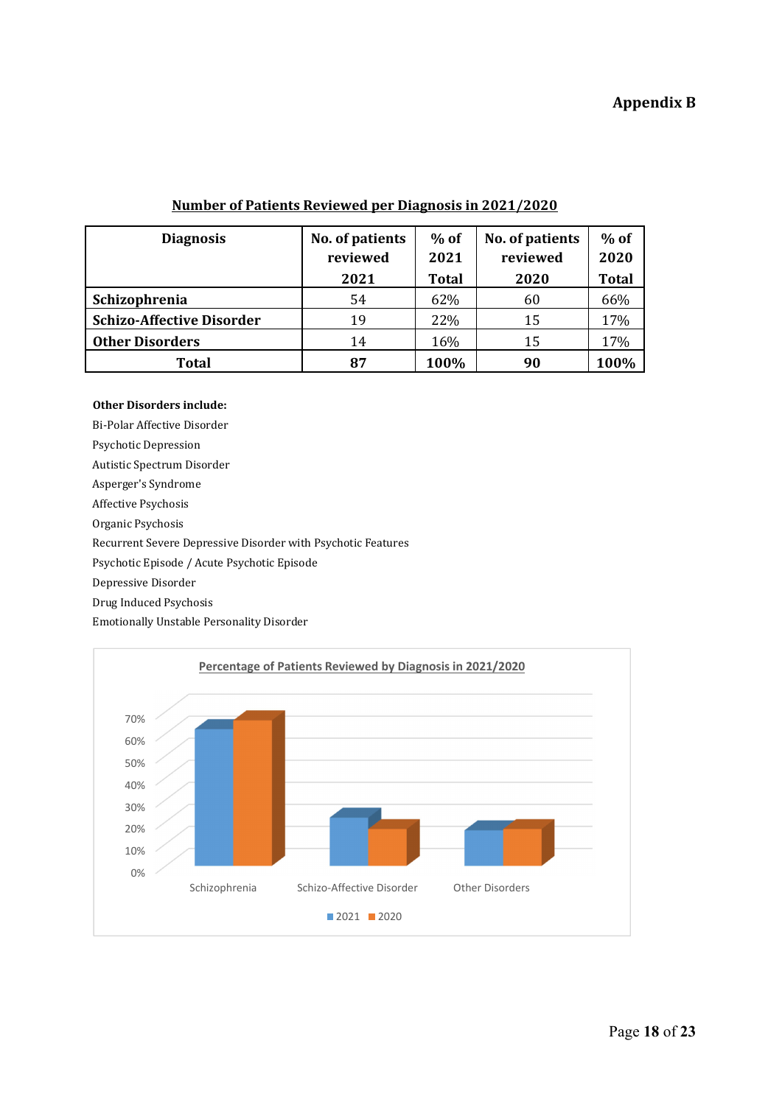#### **Number of Patients Reviewed per Diagnosis in 2021/2020**

| <b>Diagnosis</b>                 | No. of patients | $%$ of       | No. of patients | $%$ of       |
|----------------------------------|-----------------|--------------|-----------------|--------------|
|                                  | reviewed        | 2021         | reviewed        | 2020         |
|                                  | 2021            | <b>Total</b> | 2020            | <b>Total</b> |
| Schizophrenia                    | 54              | 62%          | 60              | 66%          |
| <b>Schizo-Affective Disorder</b> | 19              | 22%          | 15              | 17%          |
| <b>Other Disorders</b>           | 14              | 16%          | 15              | 17%          |
| <b>Total</b>                     | 87              | 100%         | 90              | 100%         |

#### **Other Disorders include:**

Bi‐Polar Affective Disorder 

Psychotic Depression

Autistic Spectrum Disorder

Asperger's Syndrome

Affective Psychosis

Organic Psychosis

Recurrent Severe Depressive Disorder with Psychotic Features

Psychotic Episode / Acute Psychotic Episode

Depressive Disorder

Drug Induced Psychosis

Emotionally Unstable Personality Disorder

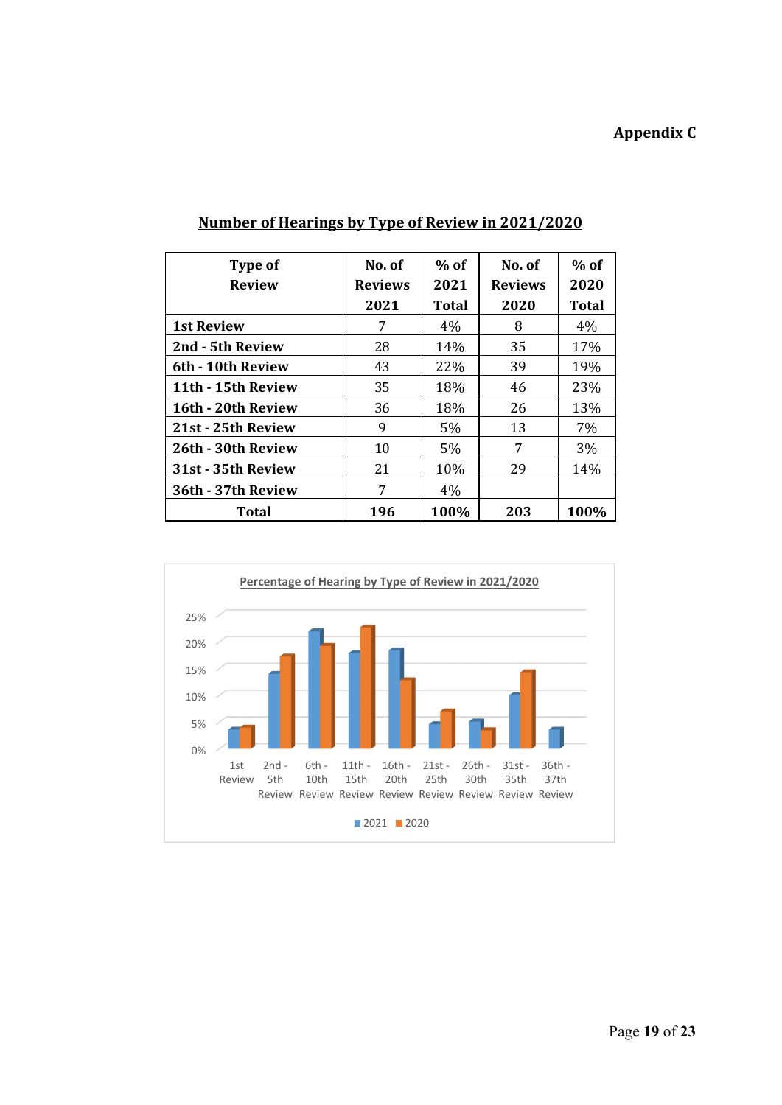# **Appendix C**

| Type of<br><b>Review</b> | No. of<br><b>Reviews</b><br>2021 | $%$ of<br>2021<br>Total | No. of<br><b>Reviews</b><br>2020 | $%$ of<br>2020<br>Total |
|--------------------------|----------------------------------|-------------------------|----------------------------------|-------------------------|
| <b>1st Review</b>        | 7                                | $4\%$                   | 8                                | $4\%$                   |
| 2nd - 5th Review         | 28                               | 14%                     | 35                               | 17%                     |
| 6th - 10th Review        | 43                               | 22%                     | 39                               | 19%                     |
| 11th - 15th Review       | 35                               | 18%                     | 46                               | 23%                     |
| 16th - 20th Review       | 36                               | 18%                     | 26                               | 13%                     |
| 21st - 25th Review       | 9                                | 5%                      | 13                               | 7%                      |
| 26th - 30th Review       | 10                               | 5%                      | 7                                | 3%                      |
| 31st - 35th Review       | 21                               | 10%                     | 29                               | 14%                     |
| 36th - 37th Review       | 7                                | $4\%$                   |                                  |                         |
| Total                    | 196                              | 100%                    | 203                              | 100%                    |

# **Number of Hearings by Type of Review in 2021/2020**

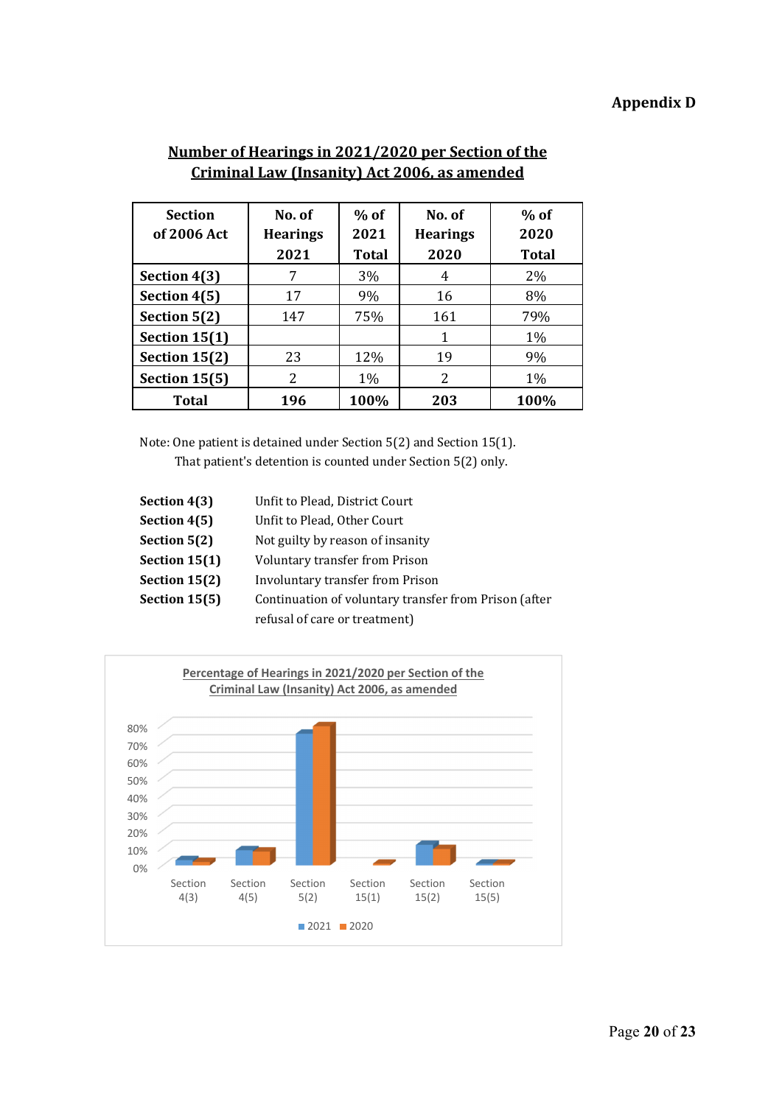# **Appendix D**

| <b>Section</b><br>of 2006 Act | No. of<br><b>Hearings</b><br>2021 | $%$ of<br>2021<br><b>Total</b> | No. of<br><b>Hearings</b><br>2020 | $%$ of<br>2020<br><b>Total</b> |
|-------------------------------|-----------------------------------|--------------------------------|-----------------------------------|--------------------------------|
| Section 4(3)                  | 7                                 | 3%                             | 4                                 | 2%                             |
| Section 4(5)                  | 17                                | 9%                             | 16                                | 8%                             |
| Section 5(2)                  | 147                               | 75%                            | 161                               | 79%                            |
| Section 15(1)                 |                                   |                                | 1                                 | $1\%$                          |
| Section $15(2)$               | 23                                | 12%                            | 19                                | 9%                             |
| Section 15(5)                 | 2                                 | 1%                             | 2                                 | 1%                             |
| <b>Total</b>                  | 196                               | 100%                           | 203                               | 100%                           |

# **Number of Hearings in 2021/2020 per Section of the Criminal Law (Insanity) Act 2006, as amended**

Note: One patient is detained under Section 5(2) and Section 15(1). That patient's detention is counted under Section 5(2) only.

| Section 4(3)    | Unfit to Plead, District Court                        |
|-----------------|-------------------------------------------------------|
| Section 4(5)    | Unfit to Plead, Other Court                           |
| Section 5(2)    | Not guilty by reason of insanity                      |
| Section $15(1)$ | Voluntary transfer from Prison                        |
| Section $15(2)$ | Involuntary transfer from Prison                      |
| Section 15(5)   | Continuation of voluntary transfer from Prison (after |
|                 | refusal of care or treatment)                         |

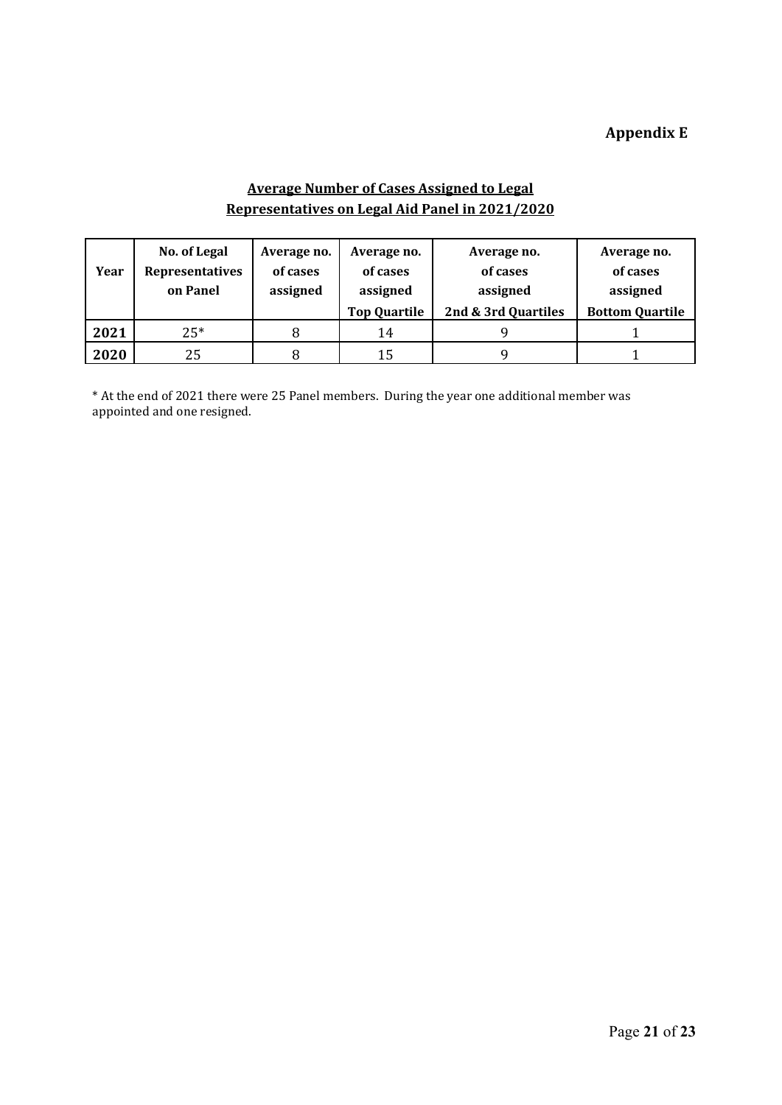# **Appendix E**

## **Average Number of Cases Assigned to Legal Representatives on Legal Aid Panel in 2021/2020**

|      | No. of Legal           | Average no. | Average no.         | Average no.         | Average no.            |
|------|------------------------|-------------|---------------------|---------------------|------------------------|
| Year | <b>Representatives</b> | of cases    | of cases            | of cases            | of cases               |
|      | on Panel               | assigned    | assigned            | assigned            | assigned               |
|      |                        |             | <b>Top Quartile</b> | 2nd & 3rd Quartiles | <b>Bottom Quartile</b> |
| 2021 | $25*$                  |             | 14                  |                     |                        |
| 2020 | 25                     |             | 15                  |                     |                        |

\* At the end of 2021 there were 25 Panel members. During the year one additional member was appointed and one resigned.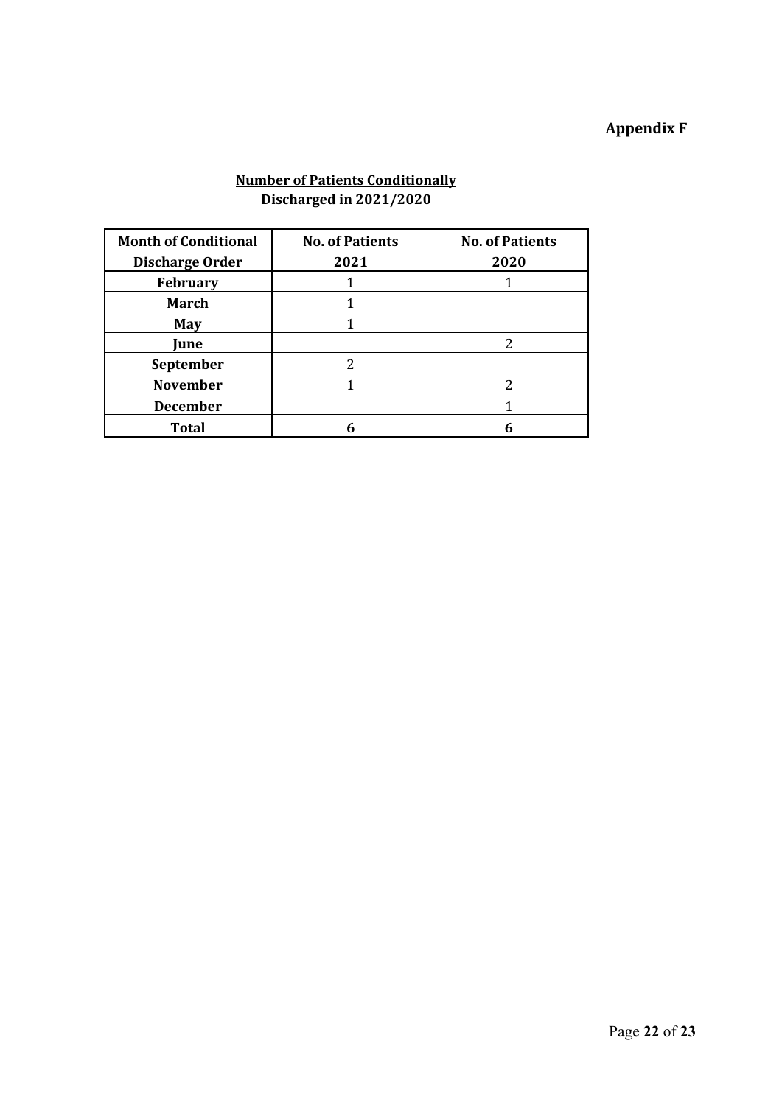# **Appendix F**

#### **Number of Patients Conditionally Discharged in 2021/2020**

| <b>Month of Conditional</b><br><b>Discharge Order</b> | <b>No. of Patients</b><br>2021 | <b>No. of Patients</b><br>2020 |
|-------------------------------------------------------|--------------------------------|--------------------------------|
| <b>February</b>                                       |                                |                                |
| <b>March</b>                                          |                                |                                |
| <b>May</b>                                            |                                |                                |
| June                                                  |                                | 2                              |
| September                                             | 2                              |                                |
| <b>November</b>                                       |                                | 2                              |
| <b>December</b>                                       |                                |                                |
| Total                                                 |                                |                                |